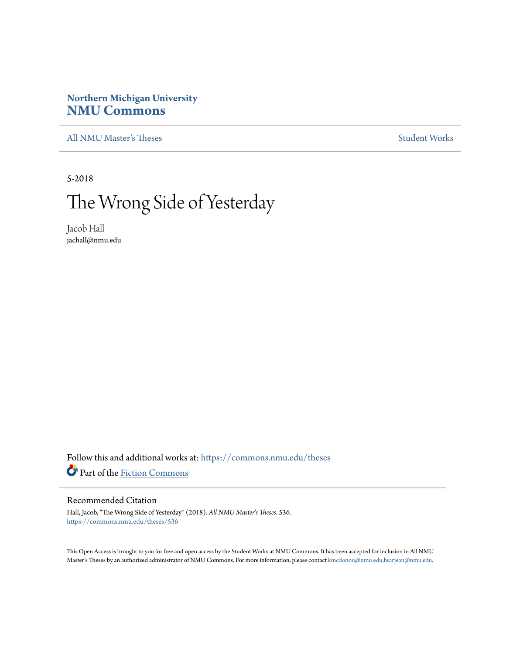# **Northern Michigan University [NMU Commons](https://commons.nmu.edu?utm_source=commons.nmu.edu%2Ftheses%2F536&utm_medium=PDF&utm_campaign=PDFCoverPages)**

[All NMU Master's Theses](https://commons.nmu.edu/theses?utm_source=commons.nmu.edu%2Ftheses%2F536&utm_medium=PDF&utm_campaign=PDFCoverPages) [Student Works](https://commons.nmu.edu/student_works?utm_source=commons.nmu.edu%2Ftheses%2F536&utm_medium=PDF&utm_campaign=PDFCoverPages)

5-2018

# The Wrong Side of Yesterday

Jacob Hall jachall@nmu.edu

Follow this and additional works at: [https://commons.nmu.edu/theses](https://commons.nmu.edu/theses?utm_source=commons.nmu.edu%2Ftheses%2F536&utm_medium=PDF&utm_campaign=PDFCoverPages) Part of the [Fiction Commons](http://network.bepress.com/hgg/discipline/1151?utm_source=commons.nmu.edu%2Ftheses%2F536&utm_medium=PDF&utm_campaign=PDFCoverPages)

#### Recommended Citation

Hall, Jacob, "The Wrong Side of Yesterday" (2018). *All NMU Master's Theses*. 536. [https://commons.nmu.edu/theses/536](https://commons.nmu.edu/theses/536?utm_source=commons.nmu.edu%2Ftheses%2F536&utm_medium=PDF&utm_campaign=PDFCoverPages)

This Open Access is brought to you for free and open access by the Student Works at NMU Commons. It has been accepted for inclusion in All NMU Master's Theses by an authorized administrator of NMU Commons. For more information, please contact [kmcdonou@nmu.edu,bsarjean@nmu.edu.](mailto:kmcdonou@nmu.edu,bsarjean@nmu.edu)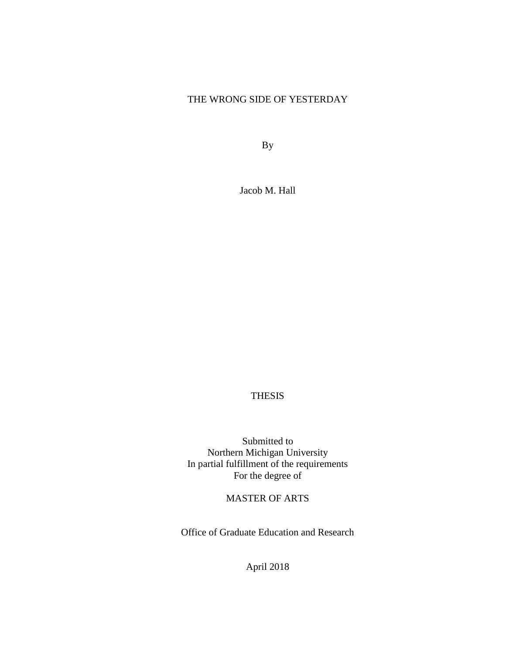# THE WRONG SIDE OF YESTERDAY

By

Jacob M. Hall

## THESIS

Submitted to Northern Michigan University In partial fulfillment of the requirements For the degree of

### MASTER OF ARTS

Office of Graduate Education and Research

April 2018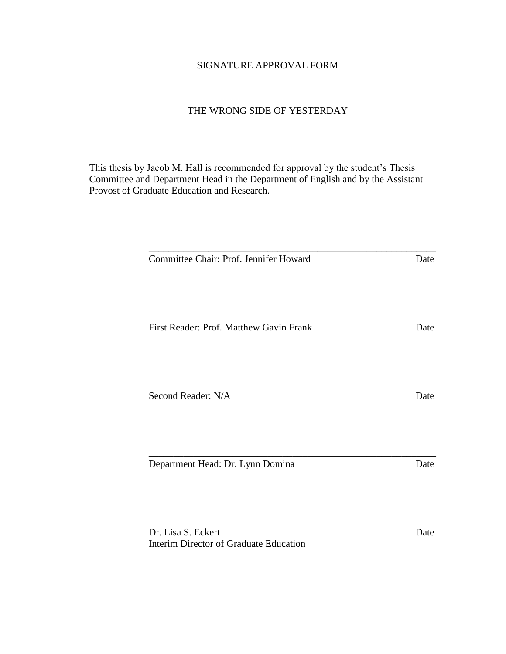## SIGNATURE APPROVAL FORM

## THE WRONG SIDE OF YESTERDAY

This thesis by Jacob M. Hall is recommended for approval by the student's Thesis Committee and Department Head in the Department of English and by the Assistant Provost of Graduate Education and Research.

| Committee Chair: Prof. Jennifer Howard  | Date |
|-----------------------------------------|------|
|                                         |      |
| First Reader: Prof. Matthew Gavin Frank | Date |
|                                         |      |
| Second Reader: N/A                      | Date |
|                                         |      |
| Department Head: Dr. Lynn Domina        | Date |

\_\_\_\_\_\_\_\_\_\_\_\_\_\_\_\_\_\_\_\_\_\_\_\_\_\_\_\_\_\_\_\_\_\_\_\_\_\_\_\_\_\_\_\_\_\_\_\_\_\_\_\_\_\_\_\_\_\_

Dr. Lisa S. Eckert Date Interim Director of Graduate Education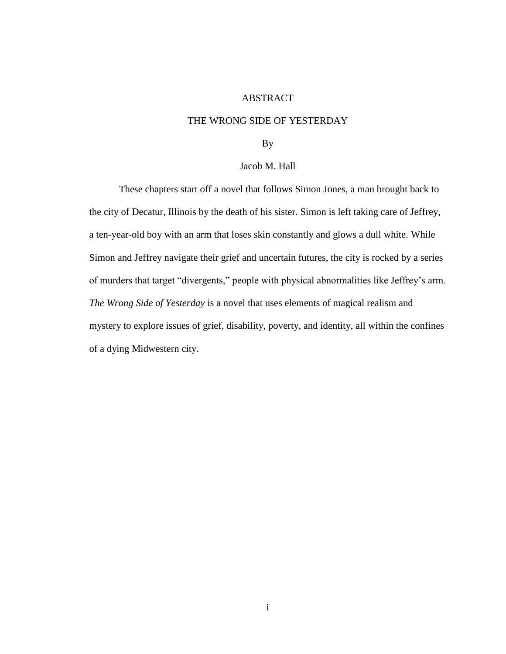#### ABSTRACT

#### THE WRONG SIDE OF YESTERDAY

By

#### Jacob M. Hall

<span id="page-3-0"></span>These chapters start off a novel that follows Simon Jones, a man brought back to the city of Decatur, Illinois by the death of his sister. Simon is left taking care of Jeffrey, a ten-year-old boy with an arm that loses skin constantly and glows a dull white. While Simon and Jeffrey navigate their grief and uncertain futures, the city is rocked by a series of murders that target "divergents," people with physical abnormalities like Jeffrey's arm. *The Wrong Side of Yesterday* is a novel that uses elements of magical realism and mystery to explore issues of grief, disability, poverty, and identity, all within the confines of a dying Midwestern city.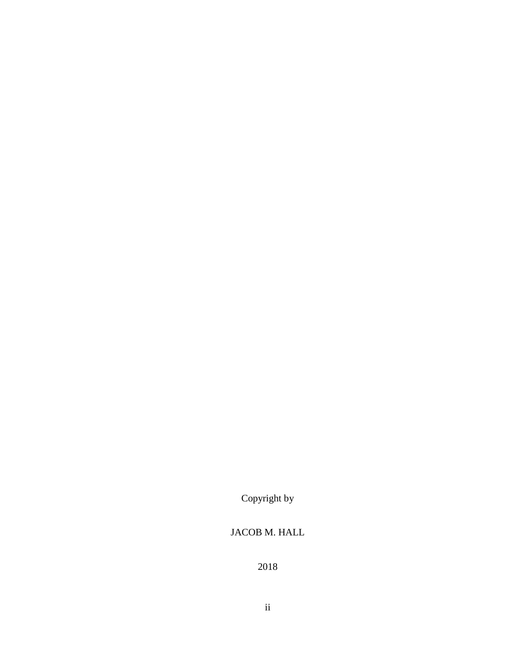Copyright by

# JACOB M. HALL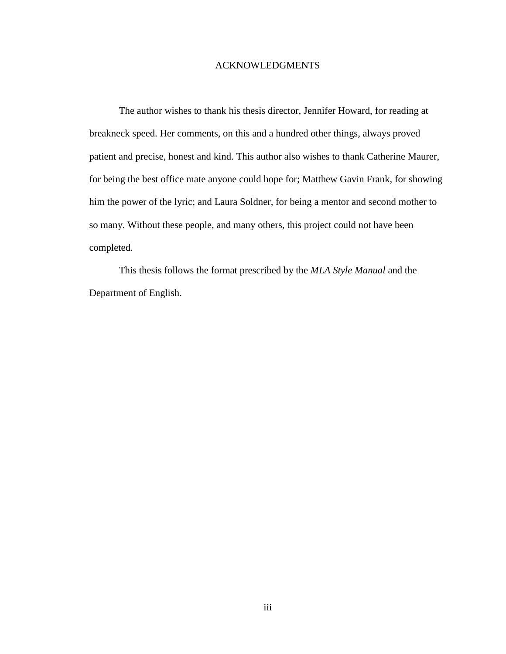#### ACKNOWLEDGMENTS

The author wishes to thank his thesis director, Jennifer Howard, for reading at breakneck speed. Her comments, on this and a hundred other things, always proved patient and precise, honest and kind. This author also wishes to thank Catherine Maurer, for being the best office mate anyone could hope for; Matthew Gavin Frank, for showing him the power of the lyric; and Laura Soldner, for being a mentor and second mother to so many. Without these people, and many others, this project could not have been completed.

This thesis follows the format prescribed by the *MLA Style Manual* and the Department of English.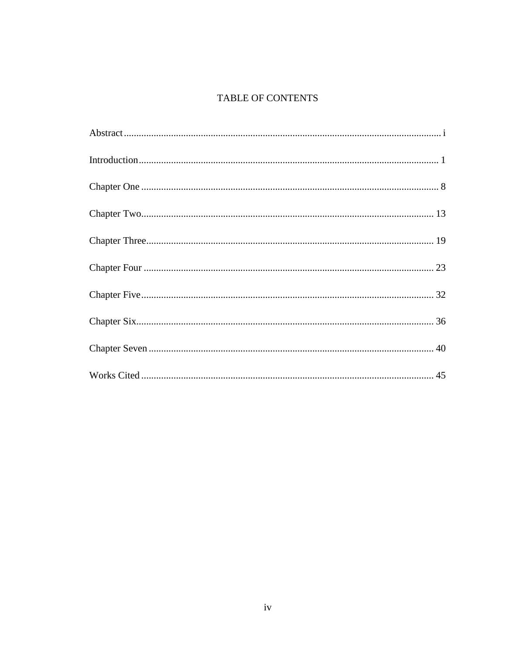# **TABLE OF CONTENTS**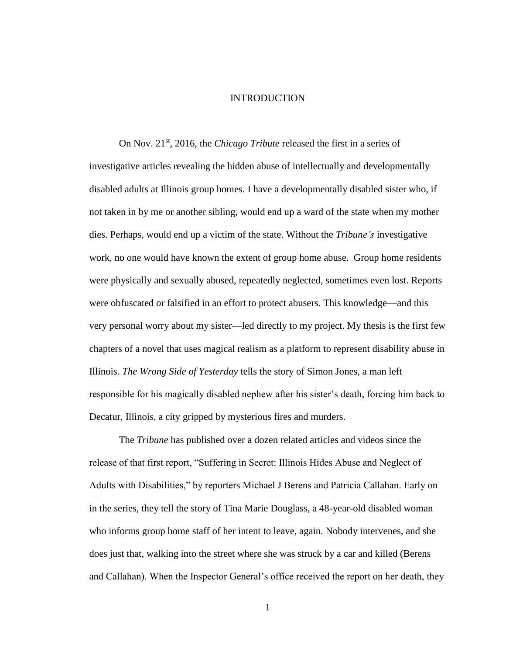#### INTRODUCTION

<span id="page-7-0"></span>On Nov. 21st, 2016, the *Chicago Tribute* released the first in a series of investigative articles revealing the hidden abuse of intellectually and developmentally disabled adults at Illinois group homes. I have a developmentally disabled sister who, if not taken in by me or another sibling, would end up a ward of the state when my mother dies. Perhaps, would end up a victim of the state. Without the *Tribune's* investigative work, no one would have known the extent of group home abuse. Group home residents were physically and sexually abused, repeatedly neglected, sometimes even lost. Reports were obfuscated or falsified in an effort to protect abusers. This knowledge—and this very personal worry about my sister—led directly to my project. My thesis is the first few chapters of a novel that uses magical realism as a platform to represent disability abuse in Illinois. *The Wrong Side of Yesterday* tells the story of Simon Jones, a man left responsible for his magically disabled nephew after his sister's death, forcing him back to Decatur, Illinois, a city gripped by mysterious fires and murders.

The *Tribune* has published over a dozen related articles and videos since the release of that first report, "Suffering in Secret: Illinois Hides Abuse and Neglect of Adults with Disabilities," by reporters Michael J Berens and Patricia Callahan. Early on in the series, they tell the story of Tina Marie Douglass, a 48-year-old disabled woman who informs group home staff of her intent to leave, again. Nobody intervenes, and she does just that, walking into the street where she was struck by a car and killed (Berens and Callahan). When the Inspector General's office received the report on her death, they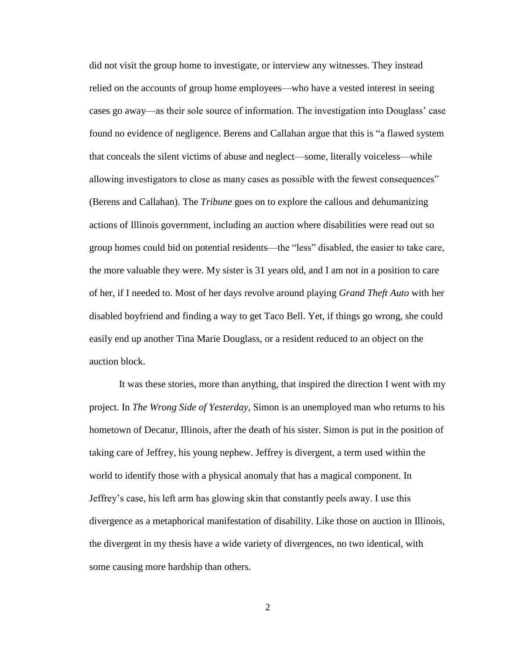did not visit the group home to investigate, or interview any witnesses. They instead relied on the accounts of group home employees—who have a vested interest in seeing cases go away—as their sole source of information. The investigation into Douglass' case found no evidence of negligence. Berens and Callahan argue that this is "a flawed system that conceals the silent victims of abuse and neglect—some, literally voiceless—while allowing investigators to close as many cases as possible with the fewest consequences" (Berens and Callahan). The *Tribune* goes on to explore the callous and dehumanizing actions of Illinois government, including an auction where disabilities were read out so group homes could bid on potential residents—the "less" disabled, the easier to take care, the more valuable they were. My sister is 31 years old, and I am not in a position to care of her, if I needed to. Most of her days revolve around playing *Grand Theft Auto* with her disabled boyfriend and finding a way to get Taco Bell. Yet, if things go wrong, she could easily end up another Tina Marie Douglass, or a resident reduced to an object on the auction block.

It was these stories, more than anything, that inspired the direction I went with my project. In *The Wrong Side of Yesterday*, Simon is an unemployed man who returns to his hometown of Decatur, Illinois, after the death of his sister. Simon is put in the position of taking care of Jeffrey, his young nephew. Jeffrey is divergent, a term used within the world to identify those with a physical anomaly that has a magical component. In Jeffrey's case, his left arm has glowing skin that constantly peels away. I use this divergence as a metaphorical manifestation of disability. Like those on auction in Illinois, the divergent in my thesis have a wide variety of divergences, no two identical, with some causing more hardship than others.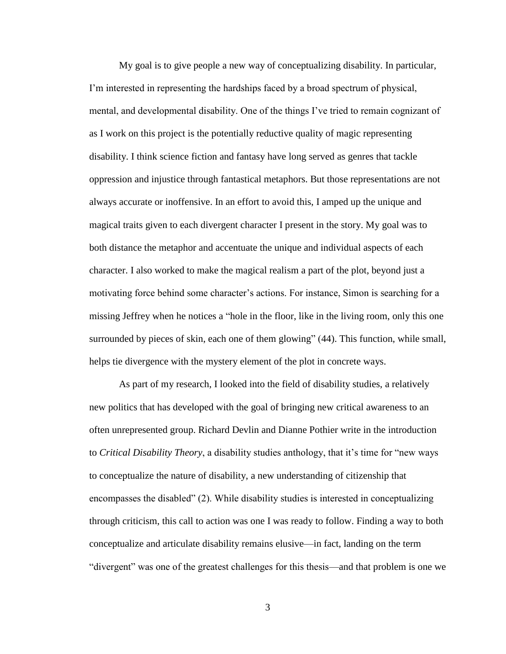My goal is to give people a new way of conceptualizing disability. In particular, I'm interested in representing the hardships faced by a broad spectrum of physical, mental, and developmental disability. One of the things I've tried to remain cognizant of as I work on this project is the potentially reductive quality of magic representing disability. I think science fiction and fantasy have long served as genres that tackle oppression and injustice through fantastical metaphors. But those representations are not always accurate or inoffensive. In an effort to avoid this, I amped up the unique and magical traits given to each divergent character I present in the story. My goal was to both distance the metaphor and accentuate the unique and individual aspects of each character. I also worked to make the magical realism a part of the plot, beyond just a motivating force behind some character's actions. For instance, Simon is searching for a missing Jeffrey when he notices a "hole in the floor, like in the living room, only this one surrounded by pieces of skin, each one of them glowing" (44). This function, while small, helps tie divergence with the mystery element of the plot in concrete ways.

As part of my research, I looked into the field of disability studies, a relatively new politics that has developed with the goal of bringing new critical awareness to an often unrepresented group. Richard Devlin and Dianne Pothier write in the introduction to *Critical Disability Theory*, a disability studies anthology, that it's time for "new ways to conceptualize the nature of disability, a new understanding of citizenship that encompasses the disabled" (2). While disability studies is interested in conceptualizing through criticism, this call to action was one I was ready to follow. Finding a way to both conceptualize and articulate disability remains elusive—in fact, landing on the term "divergent" was one of the greatest challenges for this thesis—and that problem is one we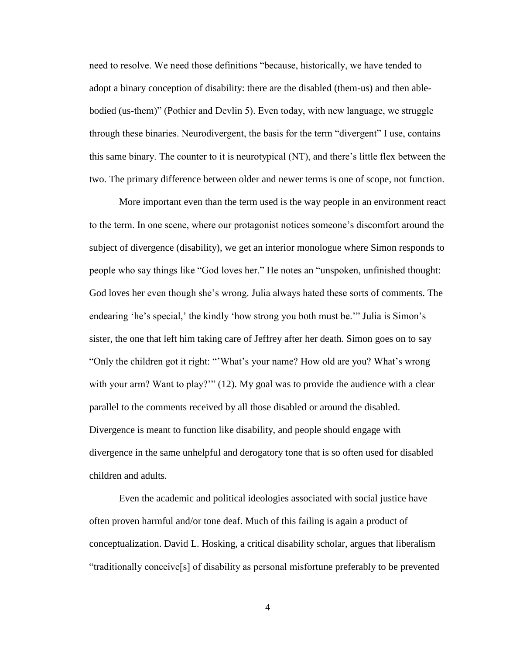need to resolve. We need those definitions "because, historically, we have tended to adopt a binary conception of disability: there are the disabled (them-us) and then ablebodied (us-them)" (Pothier and Devlin 5). Even today, with new language, we struggle through these binaries. Neurodivergent, the basis for the term "divergent" I use, contains this same binary. The counter to it is neurotypical (NT), and there's little flex between the two. The primary difference between older and newer terms is one of scope, not function.

More important even than the term used is the way people in an environment react to the term. In one scene, where our protagonist notices someone's discomfort around the subject of divergence (disability), we get an interior monologue where Simon responds to people who say things like "God loves her." He notes an "unspoken, unfinished thought: God loves her even though she's wrong. Julia always hated these sorts of comments. The endearing 'he's special,' the kindly 'how strong you both must be.'" Julia is Simon's sister, the one that left him taking care of Jeffrey after her death. Simon goes on to say "Only the children got it right: "'What's your name? How old are you? What's wrong with your arm? Want to play?"" (12). My goal was to provide the audience with a clear parallel to the comments received by all those disabled or around the disabled. Divergence is meant to function like disability, and people should engage with divergence in the same unhelpful and derogatory tone that is so often used for disabled children and adults.

Even the academic and political ideologies associated with social justice have often proven harmful and/or tone deaf. Much of this failing is again a product of conceptualization. David L. Hosking, a critical disability scholar, argues that liberalism "traditionally conceive[s] of disability as personal misfortune preferably to be prevented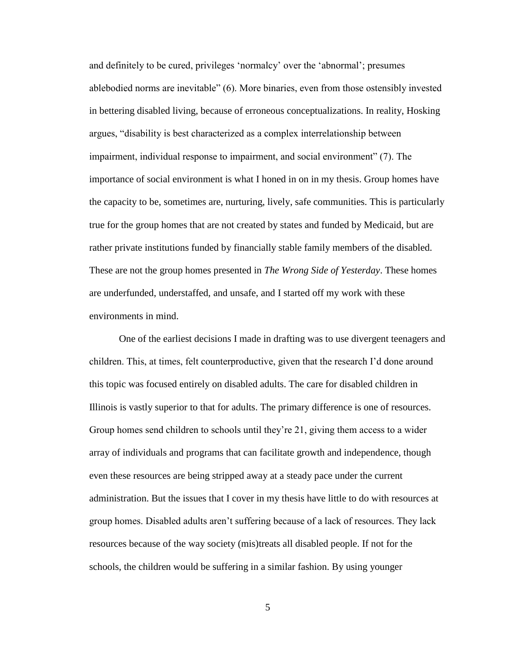and definitely to be cured, privileges 'normalcy' over the 'abnormal'; presumes ablebodied norms are inevitable" (6). More binaries, even from those ostensibly invested in bettering disabled living, because of erroneous conceptualizations. In reality, Hosking argues, "disability is best characterized as a complex interrelationship between impairment, individual response to impairment, and social environment" (7). The importance of social environment is what I honed in on in my thesis. Group homes have the capacity to be, sometimes are, nurturing, lively, safe communities. This is particularly true for the group homes that are not created by states and funded by Medicaid, but are rather private institutions funded by financially stable family members of the disabled. These are not the group homes presented in *The Wrong Side of Yesterday*. These homes are underfunded, understaffed, and unsafe, and I started off my work with these environments in mind.

One of the earliest decisions I made in drafting was to use divergent teenagers and children. This, at times, felt counterproductive, given that the research I'd done around this topic was focused entirely on disabled adults. The care for disabled children in Illinois is vastly superior to that for adults. The primary difference is one of resources. Group homes send children to schools until they're 21, giving them access to a wider array of individuals and programs that can facilitate growth and independence, though even these resources are being stripped away at a steady pace under the current administration. But the issues that I cover in my thesis have little to do with resources at group homes. Disabled adults aren't suffering because of a lack of resources. They lack resources because of the way society (mis)treats all disabled people. If not for the schools, the children would be suffering in a similar fashion. By using younger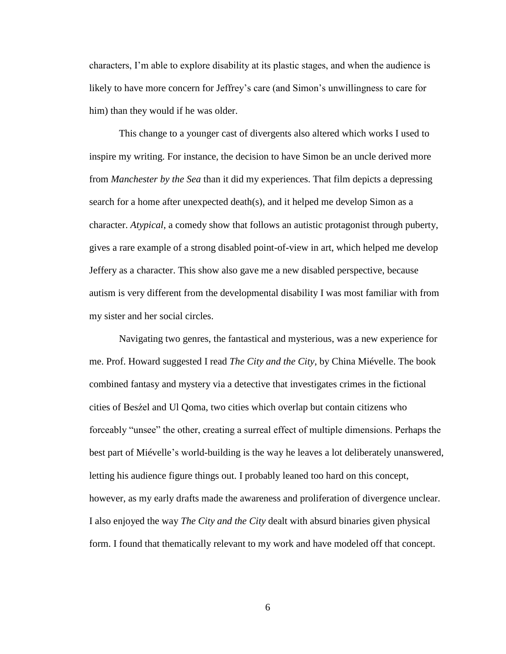characters, I'm able to explore disability at its plastic stages, and when the audience is likely to have more concern for Jeffrey's care (and Simon's unwillingness to care for him) than they would if he was older.

This change to a younger cast of divergents also altered which works I used to inspire my writing. For instance, the decision to have Simon be an uncle derived more from *Manchester by the Sea* than it did my experiences. That film depicts a depressing search for a home after unexpected death(s), and it helped me develop Simon as a character. *Atypical*, a comedy show that follows an autistic protagonist through puberty, gives a rare example of a strong disabled point-of-view in art, which helped me develop Jeffery as a character. This show also gave me a new disabled perspective, because autism is very different from the developmental disability I was most familiar with from my sister and her social circles.

Navigating two genres, the fantastical and mysterious, was a new experience for me. Prof. Howard suggested I read *The City and the City*, by China Miévelle. The book combined fantasy and mystery via a detective that investigates crimes in the fictional cities of Besźel and Ul Qoma, two cities which overlap but contain citizens who forceably "unsee" the other, creating a surreal effect of multiple dimensions. Perhaps the best part of Miévelle's world-building is the way he leaves a lot deliberately unanswered, letting his audience figure things out. I probably leaned too hard on this concept, however, as my early drafts made the awareness and proliferation of divergence unclear. I also enjoyed the way *The City and the City* dealt with absurd binaries given physical form. I found that thematically relevant to my work and have modeled off that concept.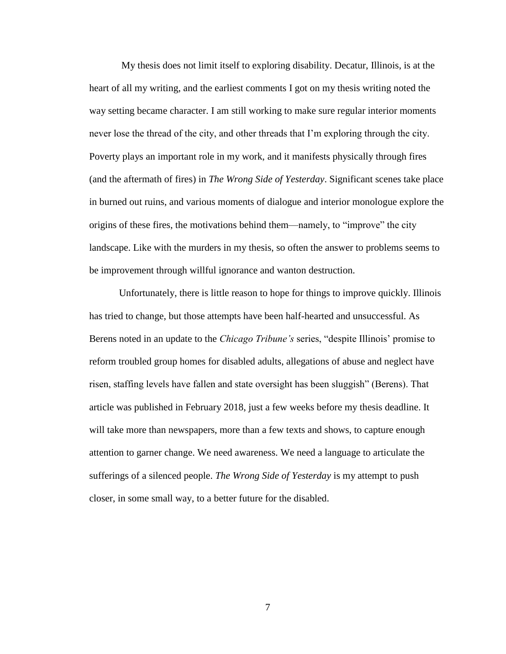My thesis does not limit itself to exploring disability. Decatur, Illinois, is at the heart of all my writing, and the earliest comments I got on my thesis writing noted the way setting became character. I am still working to make sure regular interior moments never lose the thread of the city, and other threads that I'm exploring through the city. Poverty plays an important role in my work, and it manifests physically through fires (and the aftermath of fires) in *The Wrong Side of Yesterday*. Significant scenes take place in burned out ruins, and various moments of dialogue and interior monologue explore the origins of these fires, the motivations behind them—namely, to "improve" the city landscape. Like with the murders in my thesis, so often the answer to problems seems to be improvement through willful ignorance and wanton destruction.

Unfortunately, there is little reason to hope for things to improve quickly. Illinois has tried to change, but those attempts have been half-hearted and unsuccessful. As Berens noted in an update to the *Chicago Tribune's* series, "despite Illinois' promise to reform troubled group homes for disabled adults, allegations of abuse and neglect have risen, staffing levels have fallen and state oversight has been sluggish" (Berens). That article was published in February 2018, just a few weeks before my thesis deadline. It will take more than newspapers, more than a few texts and shows, to capture enough attention to garner change. We need awareness. We need a language to articulate the sufferings of a silenced people. *The Wrong Side of Yesterday* is my attempt to push closer, in some small way, to a better future for the disabled.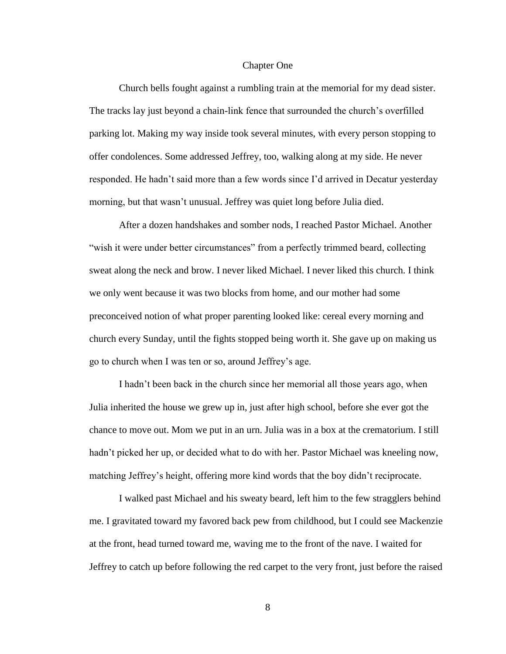#### Chapter One

<span id="page-14-0"></span>Church bells fought against a rumbling train at the memorial for my dead sister. The tracks lay just beyond a chain-link fence that surrounded the church's overfilled parking lot. Making my way inside took several minutes, with every person stopping to offer condolences. Some addressed Jeffrey, too, walking along at my side. He never responded. He hadn't said more than a few words since I'd arrived in Decatur yesterday morning, but that wasn't unusual. Jeffrey was quiet long before Julia died.

After a dozen handshakes and somber nods, I reached Pastor Michael. Another "wish it were under better circumstances" from a perfectly trimmed beard, collecting sweat along the neck and brow. I never liked Michael. I never liked this church. I think we only went because it was two blocks from home, and our mother had some preconceived notion of what proper parenting looked like: cereal every morning and church every Sunday, until the fights stopped being worth it. She gave up on making us go to church when I was ten or so, around Jeffrey's age.

I hadn't been back in the church since her memorial all those years ago, when Julia inherited the house we grew up in, just after high school, before she ever got the chance to move out. Mom we put in an urn. Julia was in a box at the crematorium. I still hadn't picked her up, or decided what to do with her. Pastor Michael was kneeling now, matching Jeffrey's height, offering more kind words that the boy didn't reciprocate.

I walked past Michael and his sweaty beard, left him to the few stragglers behind me. I gravitated toward my favored back pew from childhood, but I could see Mackenzie at the front, head turned toward me, waving me to the front of the nave. I waited for Jeffrey to catch up before following the red carpet to the very front, just before the raised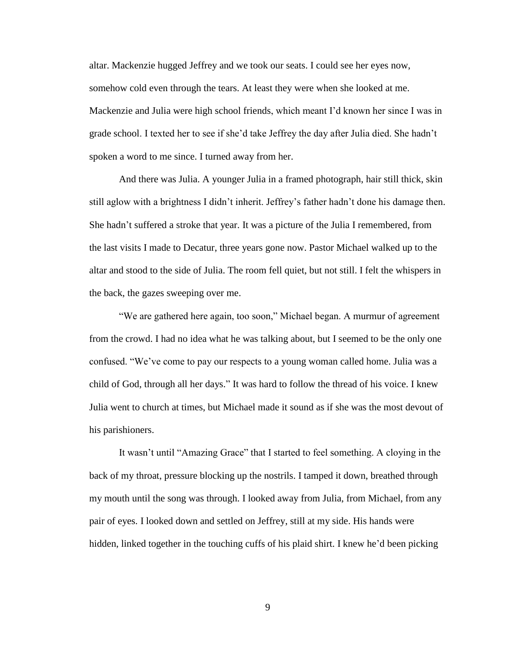altar. Mackenzie hugged Jeffrey and we took our seats. I could see her eyes now, somehow cold even through the tears. At least they were when she looked at me. Mackenzie and Julia were high school friends, which meant I'd known her since I was in grade school. I texted her to see if she'd take Jeffrey the day after Julia died. She hadn't spoken a word to me since. I turned away from her.

And there was Julia. A younger Julia in a framed photograph, hair still thick, skin still aglow with a brightness I didn't inherit. Jeffrey's father hadn't done his damage then. She hadn't suffered a stroke that year. It was a picture of the Julia I remembered, from the last visits I made to Decatur, three years gone now. Pastor Michael walked up to the altar and stood to the side of Julia. The room fell quiet, but not still. I felt the whispers in the back, the gazes sweeping over me.

"We are gathered here again, too soon," Michael began. A murmur of agreement from the crowd. I had no idea what he was talking about, but I seemed to be the only one confused. "We've come to pay our respects to a young woman called home. Julia was a child of God, through all her days." It was hard to follow the thread of his voice. I knew Julia went to church at times, but Michael made it sound as if she was the most devout of his parishioners.

It wasn't until "Amazing Grace" that I started to feel something. A cloying in the back of my throat, pressure blocking up the nostrils. I tamped it down, breathed through my mouth until the song was through. I looked away from Julia, from Michael, from any pair of eyes. I looked down and settled on Jeffrey, still at my side. His hands were hidden, linked together in the touching cuffs of his plaid shirt. I knew he'd been picking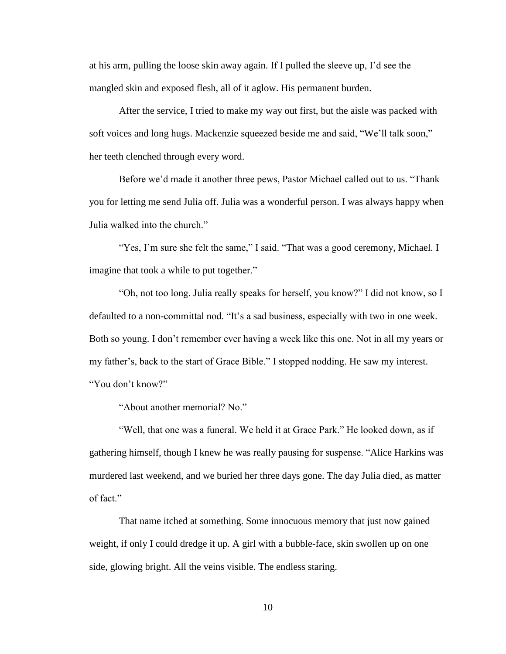at his arm, pulling the loose skin away again. If I pulled the sleeve up, I'd see the mangled skin and exposed flesh, all of it aglow. His permanent burden.

After the service, I tried to make my way out first, but the aisle was packed with soft voices and long hugs. Mackenzie squeezed beside me and said, "We'll talk soon," her teeth clenched through every word.

Before we'd made it another three pews, Pastor Michael called out to us. "Thank you for letting me send Julia off. Julia was a wonderful person. I was always happy when Julia walked into the church."

"Yes, I'm sure she felt the same," I said. "That was a good ceremony, Michael. I imagine that took a while to put together."

"Oh, not too long. Julia really speaks for herself, you know?" I did not know, so I defaulted to a non-committal nod. "It's a sad business, especially with two in one week. Both so young. I don't remember ever having a week like this one. Not in all my years or my father's, back to the start of Grace Bible." I stopped nodding. He saw my interest. "You don't know?"

"About another memorial? No."

"Well, that one was a funeral. We held it at Grace Park." He looked down, as if gathering himself, though I knew he was really pausing for suspense. "Alice Harkins was murdered last weekend, and we buried her three days gone. The day Julia died, as matter of fact."

That name itched at something. Some innocuous memory that just now gained weight, if only I could dredge it up. A girl with a bubble-face, skin swollen up on one side, glowing bright. All the veins visible. The endless staring.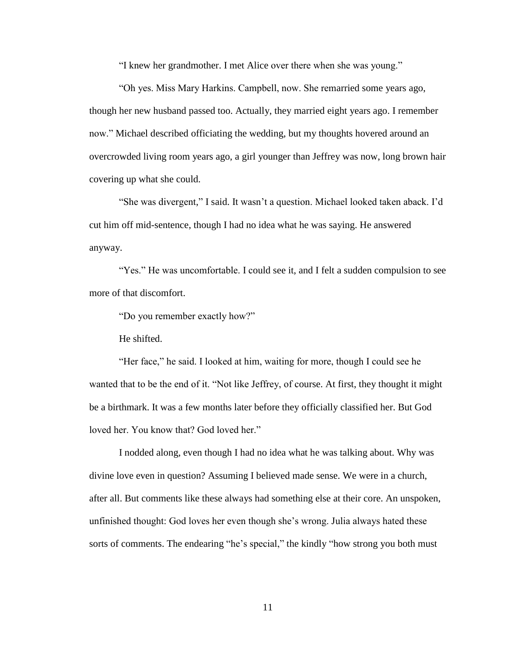"I knew her grandmother. I met Alice over there when she was young."

"Oh yes. Miss Mary Harkins. Campbell, now. She remarried some years ago, though her new husband passed too. Actually, they married eight years ago. I remember now." Michael described officiating the wedding, but my thoughts hovered around an overcrowded living room years ago, a girl younger than Jeffrey was now, long brown hair covering up what she could.

"She was divergent," I said. It wasn't a question. Michael looked taken aback. I'd cut him off mid-sentence, though I had no idea what he was saying. He answered anyway.

"Yes." He was uncomfortable. I could see it, and I felt a sudden compulsion to see more of that discomfort.

"Do you remember exactly how?"

He shifted.

"Her face," he said. I looked at him, waiting for more, though I could see he wanted that to be the end of it. "Not like Jeffrey, of course. At first, they thought it might be a birthmark. It was a few months later before they officially classified her. But God loved her. You know that? God loved her."

I nodded along, even though I had no idea what he was talking about. Why was divine love even in question? Assuming I believed made sense. We were in a church, after all. But comments like these always had something else at their core. An unspoken, unfinished thought: God loves her even though she's wrong. Julia always hated these sorts of comments. The endearing "he's special," the kindly "how strong you both must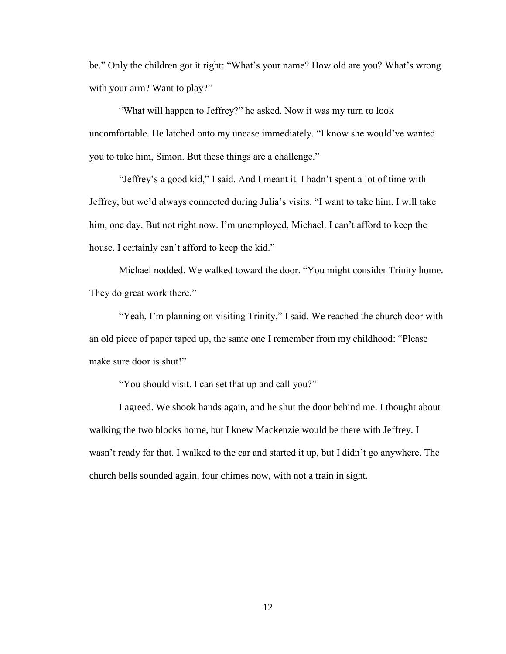be." Only the children got it right: "What's your name? How old are you? What's wrong with your arm? Want to play?"

"What will happen to Jeffrey?" he asked. Now it was my turn to look uncomfortable. He latched onto my unease immediately. "I know she would've wanted you to take him, Simon. But these things are a challenge."

"Jeffrey's a good kid," I said. And I meant it. I hadn't spent a lot of time with Jeffrey, but we'd always connected during Julia's visits. "I want to take him. I will take him, one day. But not right now. I'm unemployed, Michael. I can't afford to keep the house. I certainly can't afford to keep the kid."

Michael nodded. We walked toward the door. "You might consider Trinity home. They do great work there."

"Yeah, I'm planning on visiting Trinity," I said. We reached the church door with an old piece of paper taped up, the same one I remember from my childhood: "Please make sure door is shut!"

"You should visit. I can set that up and call you?"

I agreed. We shook hands again, and he shut the door behind me. I thought about walking the two blocks home, but I knew Mackenzie would be there with Jeffrey. I wasn't ready for that. I walked to the car and started it up, but I didn't go anywhere. The church bells sounded again, four chimes now, with not a train in sight.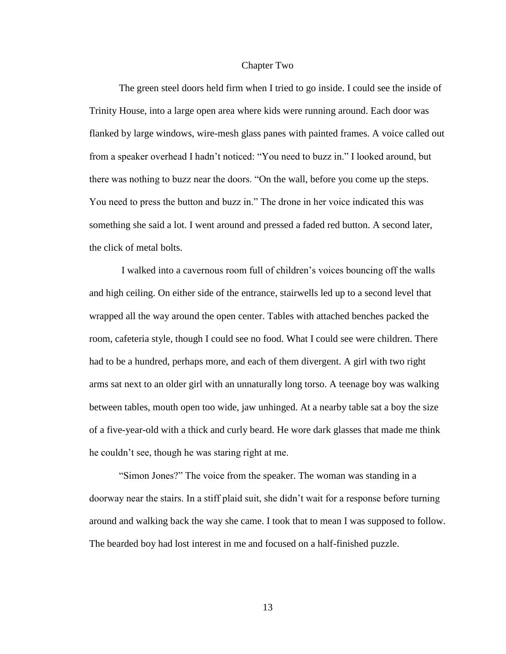#### Chapter Two

<span id="page-19-0"></span>The green steel doors held firm when I tried to go inside. I could see the inside of Trinity House, into a large open area where kids were running around. Each door was flanked by large windows, wire-mesh glass panes with painted frames. A voice called out from a speaker overhead I hadn't noticed: "You need to buzz in." I looked around, but there was nothing to buzz near the doors. "On the wall, before you come up the steps. You need to press the button and buzz in." The drone in her voice indicated this was something she said a lot. I went around and pressed a faded red button. A second later, the click of metal bolts.

I walked into a cavernous room full of children's voices bouncing off the walls and high ceiling. On either side of the entrance, stairwells led up to a second level that wrapped all the way around the open center. Tables with attached benches packed the room, cafeteria style, though I could see no food. What I could see were children. There had to be a hundred, perhaps more, and each of them divergent. A girl with two right arms sat next to an older girl with an unnaturally long torso. A teenage boy was walking between tables, mouth open too wide, jaw unhinged. At a nearby table sat a boy the size of a five-year-old with a thick and curly beard. He wore dark glasses that made me think he couldn't see, though he was staring right at me.

"Simon Jones?" The voice from the speaker. The woman was standing in a doorway near the stairs. In a stiff plaid suit, she didn't wait for a response before turning around and walking back the way she came. I took that to mean I was supposed to follow. The bearded boy had lost interest in me and focused on a half-finished puzzle.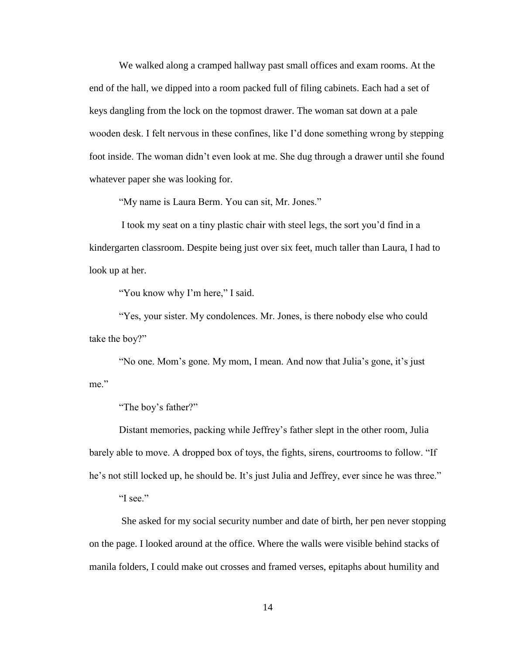We walked along a cramped hallway past small offices and exam rooms. At the end of the hall, we dipped into a room packed full of filing cabinets. Each had a set of keys dangling from the lock on the topmost drawer. The woman sat down at a pale wooden desk. I felt nervous in these confines, like I'd done something wrong by stepping foot inside. The woman didn't even look at me. She dug through a drawer until she found whatever paper she was looking for.

"My name is Laura Berm. You can sit, Mr. Jones."

I took my seat on a tiny plastic chair with steel legs, the sort you'd find in a kindergarten classroom. Despite being just over six feet, much taller than Laura, I had to look up at her.

"You know why I'm here," I said.

"Yes, your sister. My condolences. Mr. Jones, is there nobody else who could take the boy?"

"No one. Mom's gone. My mom, I mean. And now that Julia's gone, it's just me."

"The boy's father?"

Distant memories, packing while Jeffrey's father slept in the other room, Julia barely able to move. A dropped box of toys, the fights, sirens, courtrooms to follow. "If he's not still locked up, he should be. It's just Julia and Jeffrey, ever since he was three."

"I see."

She asked for my social security number and date of birth, her pen never stopping on the page. I looked around at the office. Where the walls were visible behind stacks of manila folders, I could make out crosses and framed verses, epitaphs about humility and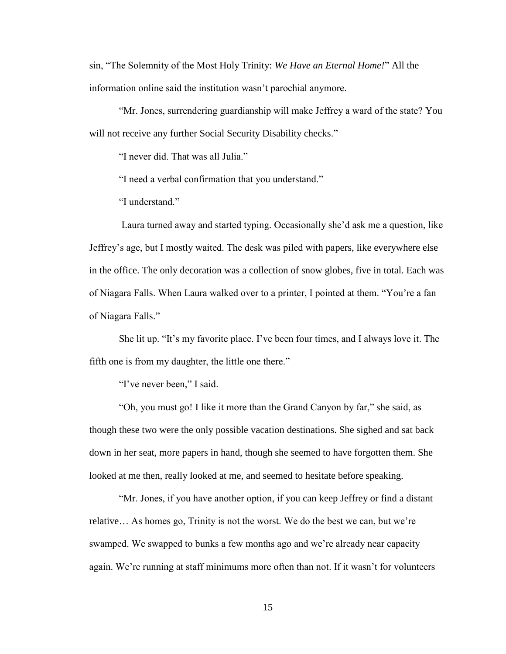sin, "The Solemnity of the Most Holy Trinity: *We Have an Eternal Home!*" All the information online said the institution wasn't parochial anymore.

"Mr. Jones, surrendering guardianship will make Jeffrey a ward of the state? You will not receive any further Social Security Disability checks."

"I never did. That was all Julia."

"I need a verbal confirmation that you understand."

"I understand."

Laura turned away and started typing. Occasionally she'd ask me a question, like Jeffrey's age, but I mostly waited. The desk was piled with papers, like everywhere else in the office. The only decoration was a collection of snow globes, five in total. Each was of Niagara Falls. When Laura walked over to a printer, I pointed at them. "You're a fan of Niagara Falls."

She lit up. "It's my favorite place. I've been four times, and I always love it. The fifth one is from my daughter, the little one there."

"I've never been," I said.

"Oh, you must go! I like it more than the Grand Canyon by far," she said, as though these two were the only possible vacation destinations. She sighed and sat back down in her seat, more papers in hand, though she seemed to have forgotten them. She looked at me then, really looked at me, and seemed to hesitate before speaking.

"Mr. Jones, if you have another option, if you can keep Jeffrey or find a distant relative… As homes go, Trinity is not the worst. We do the best we can, but we're swamped. We swapped to bunks a few months ago and we're already near capacity again. We're running at staff minimums more often than not. If it wasn't for volunteers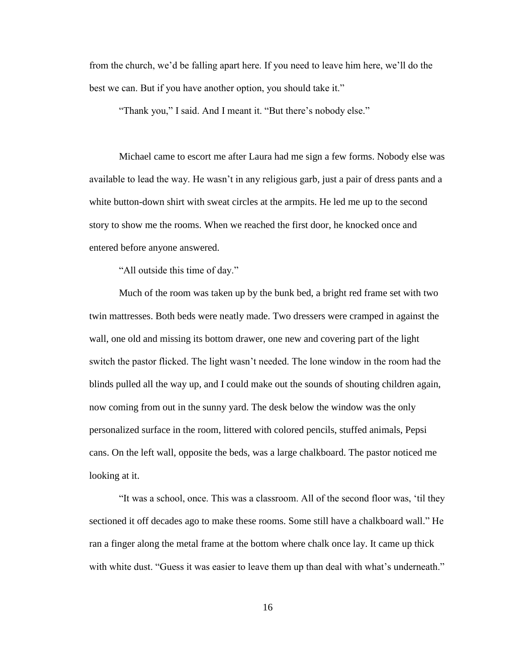from the church, we'd be falling apart here. If you need to leave him here, we'll do the best we can. But if you have another option, you should take it."

"Thank you," I said. And I meant it. "But there's nobody else."

Michael came to escort me after Laura had me sign a few forms. Nobody else was available to lead the way. He wasn't in any religious garb, just a pair of dress pants and a white button-down shirt with sweat circles at the armpits. He led me up to the second story to show me the rooms. When we reached the first door, he knocked once and entered before anyone answered.

"All outside this time of day."

Much of the room was taken up by the bunk bed, a bright red frame set with two twin mattresses. Both beds were neatly made. Two dressers were cramped in against the wall, one old and missing its bottom drawer, one new and covering part of the light switch the pastor flicked. The light wasn't needed. The lone window in the room had the blinds pulled all the way up, and I could make out the sounds of shouting children again, now coming from out in the sunny yard. The desk below the window was the only personalized surface in the room, littered with colored pencils, stuffed animals, Pepsi cans. On the left wall, opposite the beds, was a large chalkboard. The pastor noticed me looking at it.

"It was a school, once. This was a classroom. All of the second floor was, 'til they sectioned it off decades ago to make these rooms. Some still have a chalkboard wall." He ran a finger along the metal frame at the bottom where chalk once lay. It came up thick with white dust. "Guess it was easier to leave them up than deal with what's underneath."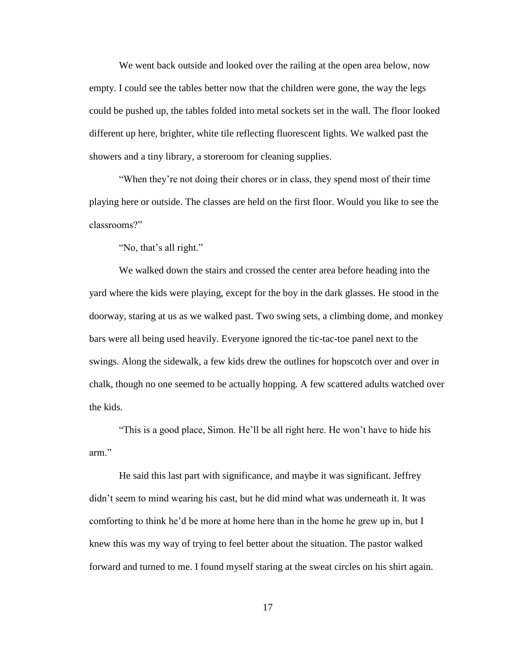We went back outside and looked over the railing at the open area below, now empty. I could see the tables better now that the children were gone, the way the legs could be pushed up, the tables folded into metal sockets set in the wall. The floor looked different up here, brighter, white tile reflecting fluorescent lights. We walked past the showers and a tiny library, a storeroom for cleaning supplies.

"When they're not doing their chores or in class, they spend most of their time playing here or outside. The classes are held on the first floor. Would you like to see the classrooms?"

"No, that's all right."

We walked down the stairs and crossed the center area before heading into the yard where the kids were playing, except for the boy in the dark glasses. He stood in the doorway, staring at us as we walked past. Two swing sets, a climbing dome, and monkey bars were all being used heavily. Everyone ignored the tic-tac-toe panel next to the swings. Along the sidewalk, a few kids drew the outlines for hopscotch over and over in chalk, though no one seemed to be actually hopping. A few scattered adults watched over the kids.

"This is a good place, Simon. He'll be all right here. He won't have to hide his arm."

He said this last part with significance, and maybe it was significant. Jeffrey didn't seem to mind wearing his cast, but he did mind what was underneath it. It was comforting to think he'd be more at home here than in the home he grew up in, but I knew this was my way of trying to feel better about the situation. The pastor walked forward and turned to me. I found myself staring at the sweat circles on his shirt again.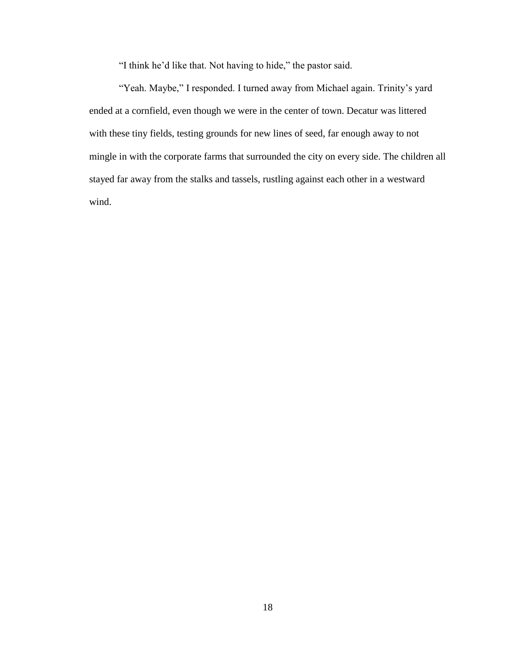"I think he'd like that. Not having to hide," the pastor said.

"Yeah. Maybe," I responded. I turned away from Michael again. Trinity's yard ended at a cornfield, even though we were in the center of town. Decatur was littered with these tiny fields, testing grounds for new lines of seed, far enough away to not mingle in with the corporate farms that surrounded the city on every side. The children all stayed far away from the stalks and tassels, rustling against each other in a westward wind.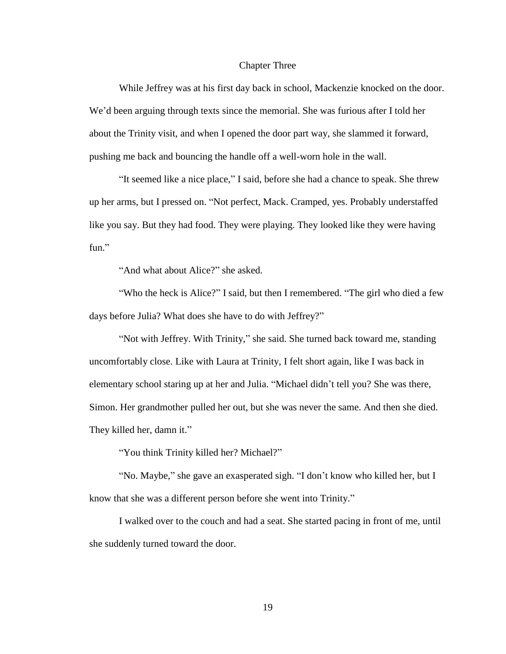#### Chapter Three

<span id="page-25-0"></span>While Jeffrey was at his first day back in school, Mackenzie knocked on the door. We'd been arguing through texts since the memorial. She was furious after I told her about the Trinity visit, and when I opened the door part way, she slammed it forward, pushing me back and bouncing the handle off a well-worn hole in the wall.

"It seemed like a nice place," I said, before she had a chance to speak. She threw up her arms, but I pressed on. "Not perfect, Mack. Cramped, yes. Probably understaffed like you say. But they had food. They were playing. They looked like they were having fun."

"And what about Alice?" she asked.

"Who the heck is Alice?" I said, but then I remembered. "The girl who died a few days before Julia? What does she have to do with Jeffrey?"

"Not with Jeffrey. With Trinity," she said. She turned back toward me, standing uncomfortably close. Like with Laura at Trinity, I felt short again, like I was back in elementary school staring up at her and Julia. "Michael didn't tell you? She was there, Simon. Her grandmother pulled her out, but she was never the same. And then she died. They killed her, damn it."

"You think Trinity killed her? Michael?"

"No. Maybe," she gave an exasperated sigh. "I don't know who killed her, but I know that she was a different person before she went into Trinity."

I walked over to the couch and had a seat. She started pacing in front of me, until she suddenly turned toward the door.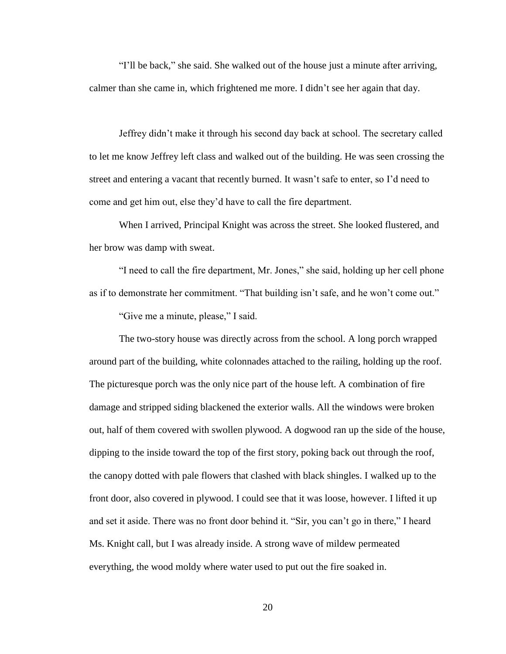"I'll be back," she said. She walked out of the house just a minute after arriving, calmer than she came in, which frightened me more. I didn't see her again that day.

Jeffrey didn't make it through his second day back at school. The secretary called to let me know Jeffrey left class and walked out of the building. He was seen crossing the street and entering a vacant that recently burned. It wasn't safe to enter, so I'd need to come and get him out, else they'd have to call the fire department.

When I arrived, Principal Knight was across the street. She looked flustered, and her brow was damp with sweat.

"I need to call the fire department, Mr. Jones," she said, holding up her cell phone as if to demonstrate her commitment. "That building isn't safe, and he won't come out."

"Give me a minute, please," I said.

The two-story house was directly across from the school. A long porch wrapped around part of the building, white colonnades attached to the railing, holding up the roof. The picturesque porch was the only nice part of the house left. A combination of fire damage and stripped siding blackened the exterior walls. All the windows were broken out, half of them covered with swollen plywood. A dogwood ran up the side of the house, dipping to the inside toward the top of the first story, poking back out through the roof, the canopy dotted with pale flowers that clashed with black shingles. I walked up to the front door, also covered in plywood. I could see that it was loose, however. I lifted it up and set it aside. There was no front door behind it. "Sir, you can't go in there," I heard Ms. Knight call, but I was already inside. A strong wave of mildew permeated everything, the wood moldy where water used to put out the fire soaked in.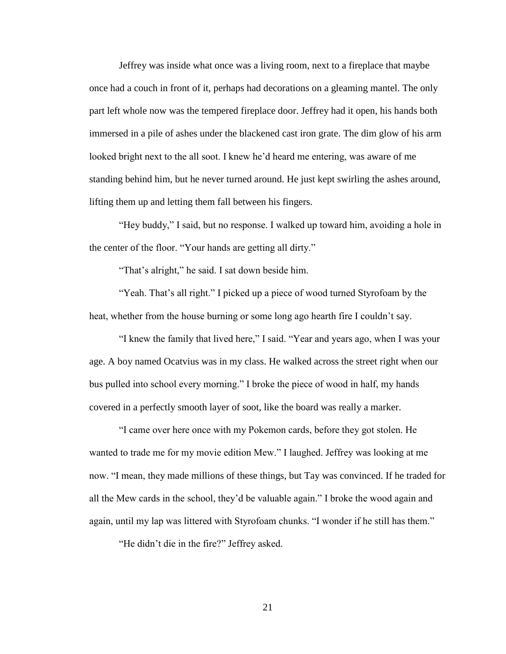Jeffrey was inside what once was a living room, next to a fireplace that maybe once had a couch in front of it, perhaps had decorations on a gleaming mantel. The only part left whole now was the tempered fireplace door. Jeffrey had it open, his hands both immersed in a pile of ashes under the blackened cast iron grate. The dim glow of his arm looked bright next to the all soot. I knew he'd heard me entering, was aware of me standing behind him, but he never turned around. He just kept swirling the ashes around, lifting them up and letting them fall between his fingers.

"Hey buddy," I said, but no response. I walked up toward him, avoiding a hole in the center of the floor. "Your hands are getting all dirty."

"That's alright," he said. I sat down beside him.

"Yeah. That's all right." I picked up a piece of wood turned Styrofoam by the heat, whether from the house burning or some long ago hearth fire I couldn't say.

"I knew the family that lived here," I said. "Year and years ago, when I was your age. A boy named Ocatvius was in my class. He walked across the street right when our bus pulled into school every morning." I broke the piece of wood in half, my hands covered in a perfectly smooth layer of soot, like the board was really a marker.

"I came over here once with my Pokemon cards, before they got stolen. He wanted to trade me for my movie edition Mew." I laughed. Jeffrey was looking at me now. "I mean, they made millions of these things, but Tay was convinced. If he traded for all the Mew cards in the school, they'd be valuable again." I broke the wood again and again, until my lap was littered with Styrofoam chunks. "I wonder if he still has them."

"He didn't die in the fire?" Jeffrey asked.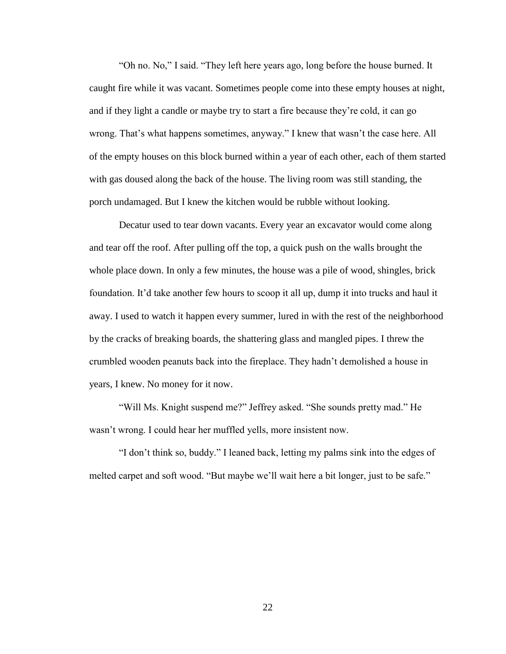"Oh no. No," I said. "They left here years ago, long before the house burned. It caught fire while it was vacant. Sometimes people come into these empty houses at night, and if they light a candle or maybe try to start a fire because they're cold, it can go wrong. That's what happens sometimes, anyway." I knew that wasn't the case here. All of the empty houses on this block burned within a year of each other, each of them started with gas doused along the back of the house. The living room was still standing, the porch undamaged. But I knew the kitchen would be rubble without looking.

Decatur used to tear down vacants. Every year an excavator would come along and tear off the roof. After pulling off the top, a quick push on the walls brought the whole place down. In only a few minutes, the house was a pile of wood, shingles, brick foundation. It'd take another few hours to scoop it all up, dump it into trucks and haul it away. I used to watch it happen every summer, lured in with the rest of the neighborhood by the cracks of breaking boards, the shattering glass and mangled pipes. I threw the crumbled wooden peanuts back into the fireplace. They hadn't demolished a house in years, I knew. No money for it now.

"Will Ms. Knight suspend me?" Jeffrey asked. "She sounds pretty mad." He wasn't wrong. I could hear her muffled yells, more insistent now.

"I don't think so, buddy." I leaned back, letting my palms sink into the edges of melted carpet and soft wood. "But maybe we'll wait here a bit longer, just to be safe."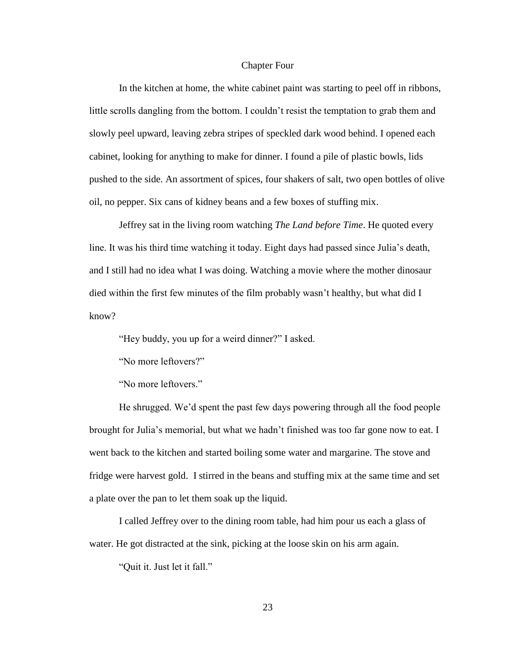#### Chapter Four

<span id="page-29-0"></span>In the kitchen at home, the white cabinet paint was starting to peel off in ribbons, little scrolls dangling from the bottom. I couldn't resist the temptation to grab them and slowly peel upward, leaving zebra stripes of speckled dark wood behind. I opened each cabinet, looking for anything to make for dinner. I found a pile of plastic bowls, lids pushed to the side. An assortment of spices, four shakers of salt, two open bottles of olive oil, no pepper. Six cans of kidney beans and a few boxes of stuffing mix.

Jeffrey sat in the living room watching *The Land before Time*. He quoted every line. It was his third time watching it today. Eight days had passed since Julia's death, and I still had no idea what I was doing. Watching a movie where the mother dinosaur died within the first few minutes of the film probably wasn't healthy, but what did I know?

"Hey buddy, you up for a weird dinner?" I asked.

"No more leftovers?"

"No more leftovers."

He shrugged. We'd spent the past few days powering through all the food people brought for Julia's memorial, but what we hadn't finished was too far gone now to eat. I went back to the kitchen and started boiling some water and margarine. The stove and fridge were harvest gold. I stirred in the beans and stuffing mix at the same time and set a plate over the pan to let them soak up the liquid.

I called Jeffrey over to the dining room table, had him pour us each a glass of water. He got distracted at the sink, picking at the loose skin on his arm again.

"Quit it. Just let it fall."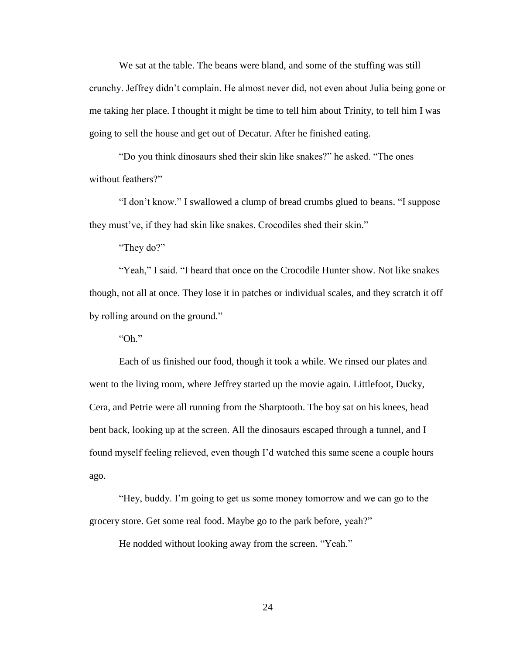We sat at the table. The beans were bland, and some of the stuffing was still crunchy. Jeffrey didn't complain. He almost never did, not even about Julia being gone or me taking her place. I thought it might be time to tell him about Trinity, to tell him I was going to sell the house and get out of Decatur. After he finished eating.

"Do you think dinosaurs shed their skin like snakes?" he asked. "The ones without feathers?"

"I don't know." I swallowed a clump of bread crumbs glued to beans. "I suppose they must've, if they had skin like snakes. Crocodiles shed their skin."

"They do?"

"Yeah," I said. "I heard that once on the Crocodile Hunter show. Not like snakes though, not all at once. They lose it in patches or individual scales, and they scratch it off by rolling around on the ground."

"Oh."

Each of us finished our food, though it took a while. We rinsed our plates and went to the living room, where Jeffrey started up the movie again. Littlefoot, Ducky, Cera, and Petrie were all running from the Sharptooth. The boy sat on his knees, head bent back, looking up at the screen. All the dinosaurs escaped through a tunnel, and I found myself feeling relieved, even though I'd watched this same scene a couple hours ago.

"Hey, buddy. I'm going to get us some money tomorrow and we can go to the grocery store. Get some real food. Maybe go to the park before, yeah?"

He nodded without looking away from the screen. "Yeah."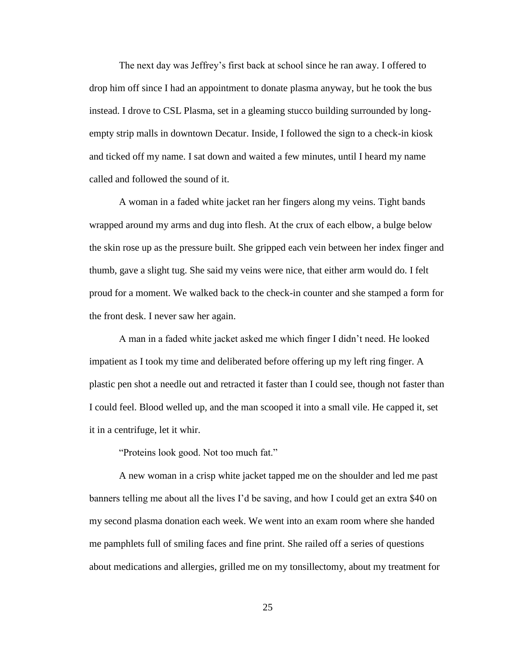The next day was Jeffrey's first back at school since he ran away. I offered to drop him off since I had an appointment to donate plasma anyway, but he took the bus instead. I drove to CSL Plasma, set in a gleaming stucco building surrounded by longempty strip malls in downtown Decatur. Inside, I followed the sign to a check-in kiosk and ticked off my name. I sat down and waited a few minutes, until I heard my name called and followed the sound of it.

A woman in a faded white jacket ran her fingers along my veins. Tight bands wrapped around my arms and dug into flesh. At the crux of each elbow, a bulge below the skin rose up as the pressure built. She gripped each vein between her index finger and thumb, gave a slight tug. She said my veins were nice, that either arm would do. I felt proud for a moment. We walked back to the check-in counter and she stamped a form for the front desk. I never saw her again.

A man in a faded white jacket asked me which finger I didn't need. He looked impatient as I took my time and deliberated before offering up my left ring finger. A plastic pen shot a needle out and retracted it faster than I could see, though not faster than I could feel. Blood welled up, and the man scooped it into a small vile. He capped it, set it in a centrifuge, let it whir.

"Proteins look good. Not too much fat."

A new woman in a crisp white jacket tapped me on the shoulder and led me past banners telling me about all the lives I'd be saving, and how I could get an extra \$40 on my second plasma donation each week. We went into an exam room where she handed me pamphlets full of smiling faces and fine print. She railed off a series of questions about medications and allergies, grilled me on my tonsillectomy, about my treatment for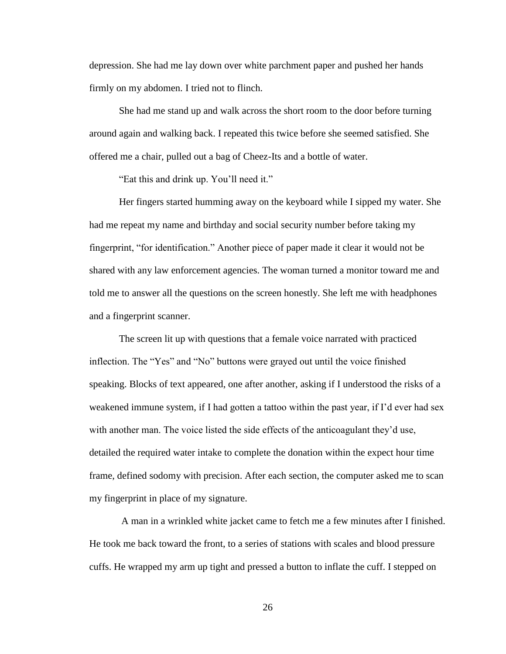depression. She had me lay down over white parchment paper and pushed her hands firmly on my abdomen. I tried not to flinch.

She had me stand up and walk across the short room to the door before turning around again and walking back. I repeated this twice before she seemed satisfied. She offered me a chair, pulled out a bag of Cheez-Its and a bottle of water.

"Eat this and drink up. You'll need it."

Her fingers started humming away on the keyboard while I sipped my water. She had me repeat my name and birthday and social security number before taking my fingerprint, "for identification." Another piece of paper made it clear it would not be shared with any law enforcement agencies. The woman turned a monitor toward me and told me to answer all the questions on the screen honestly. She left me with headphones and a fingerprint scanner.

The screen lit up with questions that a female voice narrated with practiced inflection. The "Yes" and "No" buttons were grayed out until the voice finished speaking. Blocks of text appeared, one after another, asking if I understood the risks of a weakened immune system, if I had gotten a tattoo within the past year, if I'd ever had sex with another man. The voice listed the side effects of the anticoagulant they'd use, detailed the required water intake to complete the donation within the expect hour time frame, defined sodomy with precision. After each section, the computer asked me to scan my fingerprint in place of my signature.

A man in a wrinkled white jacket came to fetch me a few minutes after I finished. He took me back toward the front, to a series of stations with scales and blood pressure cuffs. He wrapped my arm up tight and pressed a button to inflate the cuff. I stepped on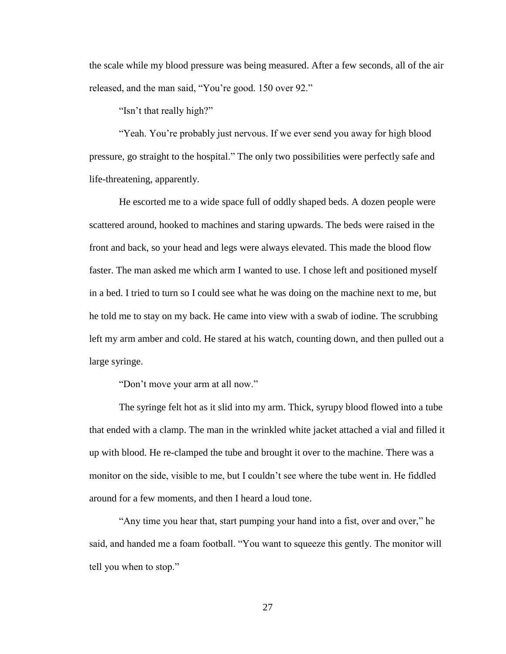the scale while my blood pressure was being measured. After a few seconds, all of the air released, and the man said, "You're good. 150 over 92."

"Isn't that really high?"

"Yeah. You're probably just nervous. If we ever send you away for high blood pressure, go straight to the hospital." The only two possibilities were perfectly safe and life-threatening, apparently.

He escorted me to a wide space full of oddly shaped beds. A dozen people were scattered around, hooked to machines and staring upwards. The beds were raised in the front and back, so your head and legs were always elevated. This made the blood flow faster. The man asked me which arm I wanted to use. I chose left and positioned myself in a bed. I tried to turn so I could see what he was doing on the machine next to me, but he told me to stay on my back. He came into view with a swab of iodine. The scrubbing left my arm amber and cold. He stared at his watch, counting down, and then pulled out a large syringe.

"Don't move your arm at all now."

The syringe felt hot as it slid into my arm. Thick, syrupy blood flowed into a tube that ended with a clamp. The man in the wrinkled white jacket attached a vial and filled it up with blood. He re-clamped the tube and brought it over to the machine. There was a monitor on the side, visible to me, but I couldn't see where the tube went in. He fiddled around for a few moments, and then I heard a loud tone.

"Any time you hear that, start pumping your hand into a fist, over and over," he said, and handed me a foam football. "You want to squeeze this gently. The monitor will tell you when to stop."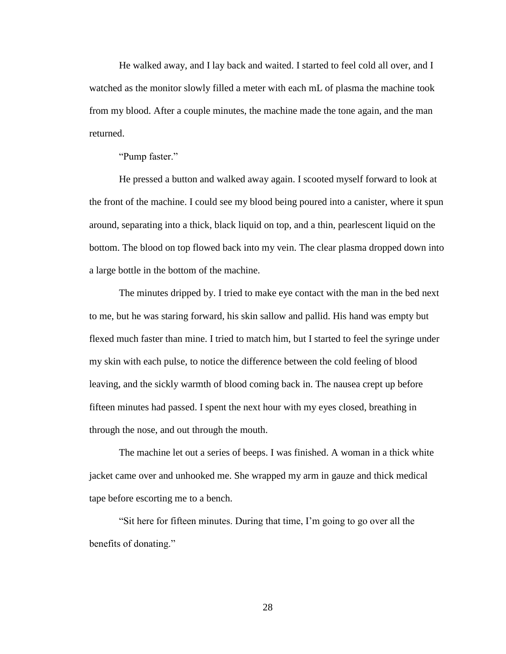He walked away, and I lay back and waited. I started to feel cold all over, and I watched as the monitor slowly filled a meter with each mL of plasma the machine took from my blood. After a couple minutes, the machine made the tone again, and the man returned.

"Pump faster."

He pressed a button and walked away again. I scooted myself forward to look at the front of the machine. I could see my blood being poured into a canister, where it spun around, separating into a thick, black liquid on top, and a thin, pearlescent liquid on the bottom. The blood on top flowed back into my vein. The clear plasma dropped down into a large bottle in the bottom of the machine.

The minutes dripped by. I tried to make eye contact with the man in the bed next to me, but he was staring forward, his skin sallow and pallid. His hand was empty but flexed much faster than mine. I tried to match him, but I started to feel the syringe under my skin with each pulse, to notice the difference between the cold feeling of blood leaving, and the sickly warmth of blood coming back in. The nausea crept up before fifteen minutes had passed. I spent the next hour with my eyes closed, breathing in through the nose, and out through the mouth.

The machine let out a series of beeps. I was finished. A woman in a thick white jacket came over and unhooked me. She wrapped my arm in gauze and thick medical tape before escorting me to a bench.

"Sit here for fifteen minutes. During that time, I'm going to go over all the benefits of donating."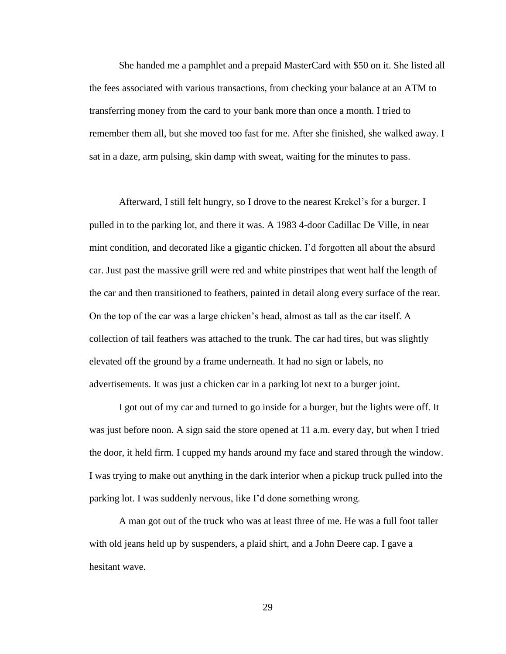She handed me a pamphlet and a prepaid MasterCard with \$50 on it. She listed all the fees associated with various transactions, from checking your balance at an ATM to transferring money from the card to your bank more than once a month. I tried to remember them all, but she moved too fast for me. After she finished, she walked away. I sat in a daze, arm pulsing, skin damp with sweat, waiting for the minutes to pass.

Afterward, I still felt hungry, so I drove to the nearest Krekel's for a burger. I pulled in to the parking lot, and there it was. A 1983 4-door Cadillac De Ville, in near mint condition, and decorated like a gigantic chicken. I'd forgotten all about the absurd car. Just past the massive grill were red and white pinstripes that went half the length of the car and then transitioned to feathers, painted in detail along every surface of the rear. On the top of the car was a large chicken's head, almost as tall as the car itself. A collection of tail feathers was attached to the trunk. The car had tires, but was slightly elevated off the ground by a frame underneath. It had no sign or labels, no advertisements. It was just a chicken car in a parking lot next to a burger joint.

I got out of my car and turned to go inside for a burger, but the lights were off. It was just before noon. A sign said the store opened at 11 a.m. every day, but when I tried the door, it held firm. I cupped my hands around my face and stared through the window. I was trying to make out anything in the dark interior when a pickup truck pulled into the parking lot. I was suddenly nervous, like I'd done something wrong.

A man got out of the truck who was at least three of me. He was a full foot taller with old jeans held up by suspenders, a plaid shirt, and a John Deere cap. I gave a hesitant wave.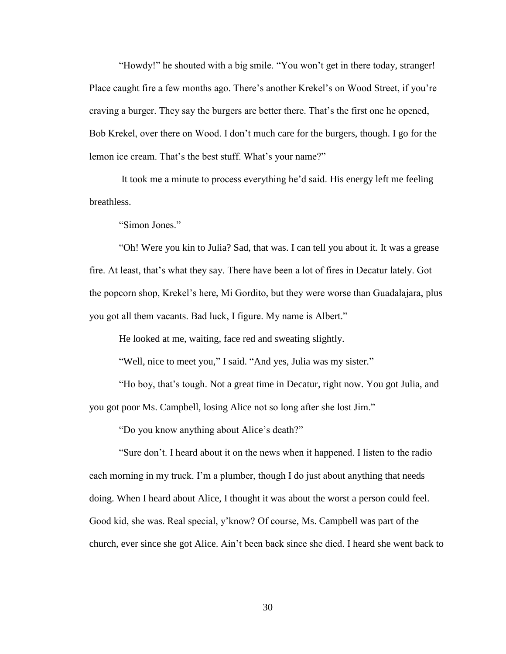"Howdy!" he shouted with a big smile. "You won't get in there today, stranger! Place caught fire a few months ago. There's another Krekel's on Wood Street, if you're craving a burger. They say the burgers are better there. That's the first one he opened, Bob Krekel, over there on Wood. I don't much care for the burgers, though. I go for the lemon ice cream. That's the best stuff. What's your name?"

It took me a minute to process everything he'd said. His energy left me feeling breathless.

"Simon Jones."

"Oh! Were you kin to Julia? Sad, that was. I can tell you about it. It was a grease fire. At least, that's what they say. There have been a lot of fires in Decatur lately. Got the popcorn shop, Krekel's here, Mi Gordito, but they were worse than Guadalajara, plus you got all them vacants. Bad luck, I figure. My name is Albert."

He looked at me, waiting, face red and sweating slightly.

"Well, nice to meet you," I said. "And yes, Julia was my sister."

"Ho boy, that's tough. Not a great time in Decatur, right now. You got Julia, and you got poor Ms. Campbell, losing Alice not so long after she lost Jim."

"Do you know anything about Alice's death?"

"Sure don't. I heard about it on the news when it happened. I listen to the radio each morning in my truck. I'm a plumber, though I do just about anything that needs doing. When I heard about Alice, I thought it was about the worst a person could feel. Good kid, she was. Real special, y'know? Of course, Ms. Campbell was part of the church, ever since she got Alice. Ain't been back since she died. I heard she went back to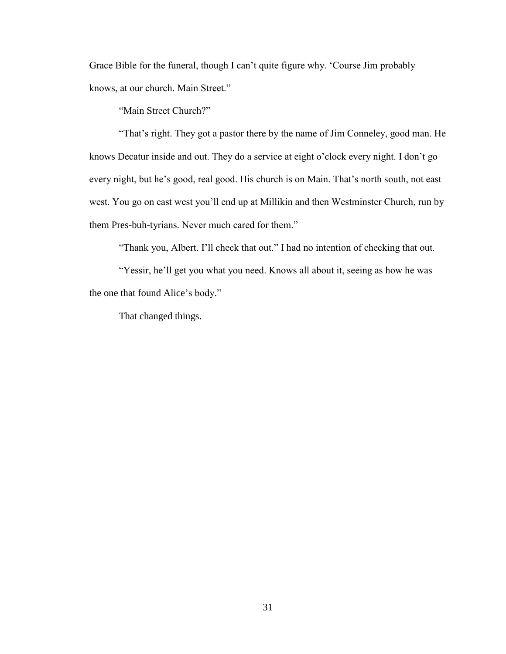Grace Bible for the funeral, though I can't quite figure why. 'Course Jim probably knows, at our church. Main Street."

"Main Street Church?"

"That's right. They got a pastor there by the name of Jim Conneley, good man. He knows Decatur inside and out. They do a service at eight o'clock every night. I don't go every night, but he's good, real good. His church is on Main. That's north south, not east west. You go on east west you'll end up at Millikin and then Westminster Church, run by them Pres-buh-tyrians. Never much cared for them."

"Thank you, Albert. I'll check that out." I had no intention of checking that out.

"Yessir, he'll get you what you need. Knows all about it, seeing as how he was the one that found Alice's body."

That changed things.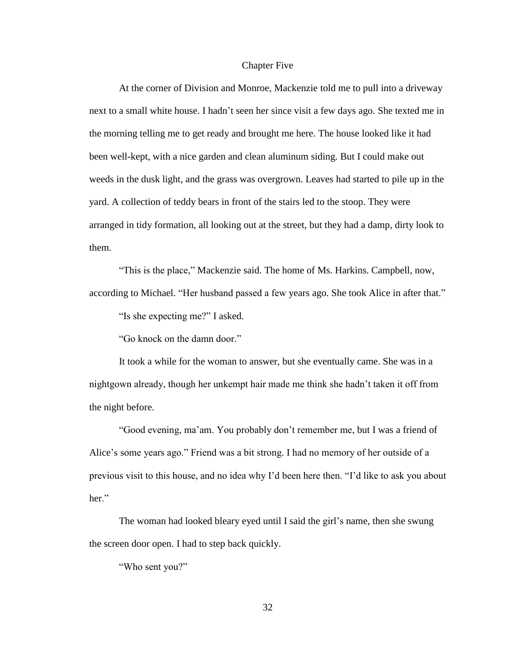#### Chapter Five

<span id="page-38-0"></span>At the corner of Division and Monroe, Mackenzie told me to pull into a driveway next to a small white house. I hadn't seen her since visit a few days ago. She texted me in the morning telling me to get ready and brought me here. The house looked like it had been well-kept, with a nice garden and clean aluminum siding. But I could make out weeds in the dusk light, and the grass was overgrown. Leaves had started to pile up in the yard. A collection of teddy bears in front of the stairs led to the stoop. They were arranged in tidy formation, all looking out at the street, but they had a damp, dirty look to them.

"This is the place," Mackenzie said. The home of Ms. Harkins. Campbell, now, according to Michael. "Her husband passed a few years ago. She took Alice in after that."

"Is she expecting me?" I asked.

"Go knock on the damn door."

It took a while for the woman to answer, but she eventually came. She was in a nightgown already, though her unkempt hair made me think she hadn't taken it off from the night before.

"Good evening, ma'am. You probably don't remember me, but I was a friend of Alice's some years ago." Friend was a bit strong. I had no memory of her outside of a previous visit to this house, and no idea why I'd been here then. "I'd like to ask you about her."

The woman had looked bleary eyed until I said the girl's name, then she swung the screen door open. I had to step back quickly.

"Who sent you?"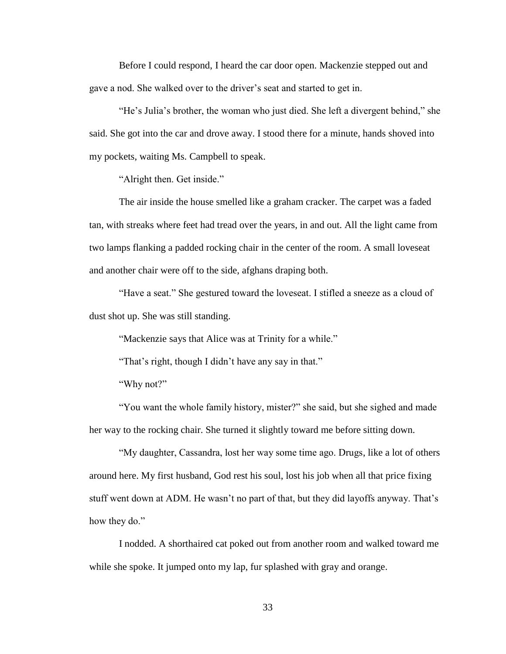Before I could respond, I heard the car door open. Mackenzie stepped out and gave a nod. She walked over to the driver's seat and started to get in.

"He's Julia's brother, the woman who just died. She left a divergent behind," she said. She got into the car and drove away. I stood there for a minute, hands shoved into my pockets, waiting Ms. Campbell to speak.

"Alright then. Get inside."

The air inside the house smelled like a graham cracker. The carpet was a faded tan, with streaks where feet had tread over the years, in and out. All the light came from two lamps flanking a padded rocking chair in the center of the room. A small loveseat and another chair were off to the side, afghans draping both.

"Have a seat." She gestured toward the loveseat. I stifled a sneeze as a cloud of dust shot up. She was still standing.

"Mackenzie says that Alice was at Trinity for a while."

"That's right, though I didn't have any say in that."

"Why not?"

"You want the whole family history, mister?" she said, but she sighed and made her way to the rocking chair. She turned it slightly toward me before sitting down.

"My daughter, Cassandra, lost her way some time ago. Drugs, like a lot of others around here. My first husband, God rest his soul, lost his job when all that price fixing stuff went down at ADM. He wasn't no part of that, but they did layoffs anyway. That's how they do."

I nodded. A shorthaired cat poked out from another room and walked toward me while she spoke. It jumped onto my lap, fur splashed with gray and orange.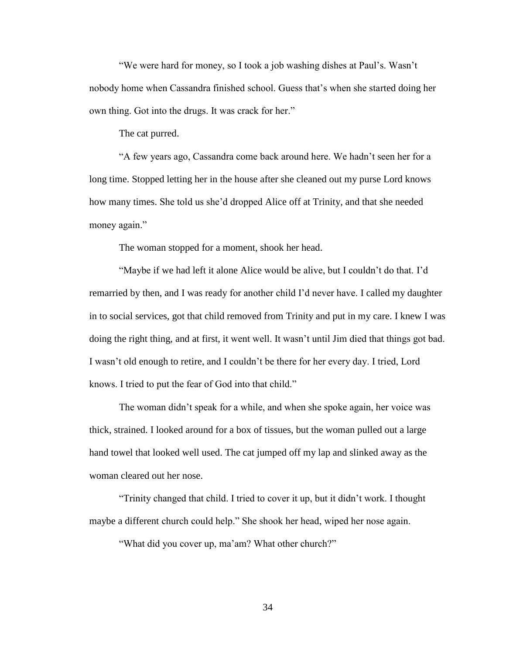"We were hard for money, so I took a job washing dishes at Paul's. Wasn't nobody home when Cassandra finished school. Guess that's when she started doing her own thing. Got into the drugs. It was crack for her."

The cat purred.

"A few years ago, Cassandra come back around here. We hadn't seen her for a long time. Stopped letting her in the house after she cleaned out my purse Lord knows how many times. She told us she'd dropped Alice off at Trinity, and that she needed money again."

The woman stopped for a moment, shook her head.

"Maybe if we had left it alone Alice would be alive, but I couldn't do that. I'd remarried by then, and I was ready for another child I'd never have. I called my daughter in to social services, got that child removed from Trinity and put in my care. I knew I was doing the right thing, and at first, it went well. It wasn't until Jim died that things got bad. I wasn't old enough to retire, and I couldn't be there for her every day. I tried, Lord knows. I tried to put the fear of God into that child."

The woman didn't speak for a while, and when she spoke again, her voice was thick, strained. I looked around for a box of tissues, but the woman pulled out a large hand towel that looked well used. The cat jumped off my lap and slinked away as the woman cleared out her nose.

"Trinity changed that child. I tried to cover it up, but it didn't work. I thought maybe a different church could help." She shook her head, wiped her nose again.

"What did you cover up, ma'am? What other church?"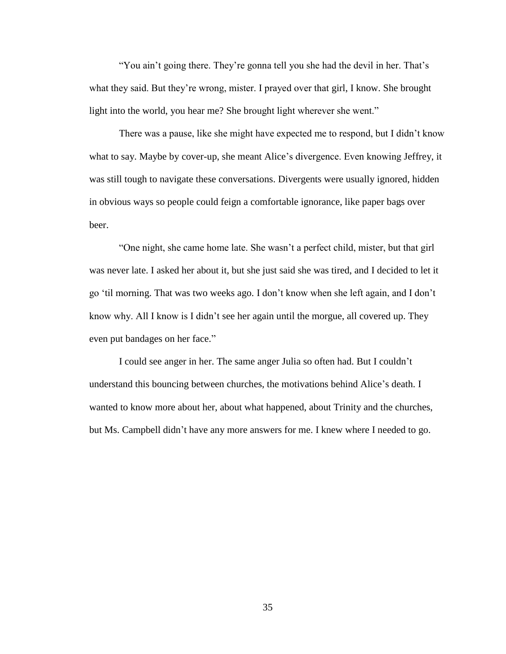"You ain't going there. They're gonna tell you she had the devil in her. That's what they said. But they're wrong, mister. I prayed over that girl, I know. She brought light into the world, you hear me? She brought light wherever she went."

There was a pause, like she might have expected me to respond, but I didn't know what to say. Maybe by cover-up, she meant Alice's divergence. Even knowing Jeffrey, it was still tough to navigate these conversations. Divergents were usually ignored, hidden in obvious ways so people could feign a comfortable ignorance, like paper bags over beer.

"One night, she came home late. She wasn't a perfect child, mister, but that girl was never late. I asked her about it, but she just said she was tired, and I decided to let it go 'til morning. That was two weeks ago. I don't know when she left again, and I don't know why. All I know is I didn't see her again until the morgue, all covered up. They even put bandages on her face."

I could see anger in her. The same anger Julia so often had. But I couldn't understand this bouncing between churches, the motivations behind Alice's death. I wanted to know more about her, about what happened, about Trinity and the churches, but Ms. Campbell didn't have any more answers for me. I knew where I needed to go.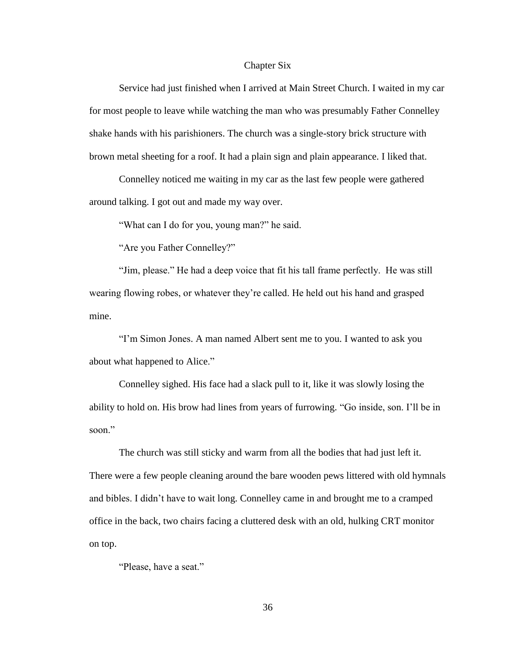#### Chapter Six

<span id="page-42-0"></span>Service had just finished when I arrived at Main Street Church. I waited in my car for most people to leave while watching the man who was presumably Father Connelley shake hands with his parishioners. The church was a single-story brick structure with brown metal sheeting for a roof. It had a plain sign and plain appearance. I liked that.

Connelley noticed me waiting in my car as the last few people were gathered around talking. I got out and made my way over.

"What can I do for you, young man?" he said.

"Are you Father Connelley?"

"Jim, please." He had a deep voice that fit his tall frame perfectly. He was still wearing flowing robes, or whatever they're called. He held out his hand and grasped mine.

"I'm Simon Jones. A man named Albert sent me to you. I wanted to ask you about what happened to Alice."

Connelley sighed. His face had a slack pull to it, like it was slowly losing the ability to hold on. His brow had lines from years of furrowing. "Go inside, son. I'll be in soon."

The church was still sticky and warm from all the bodies that had just left it. There were a few people cleaning around the bare wooden pews littered with old hymnals and bibles. I didn't have to wait long. Connelley came in and brought me to a cramped office in the back, two chairs facing a cluttered desk with an old, hulking CRT monitor on top.

"Please, have a seat."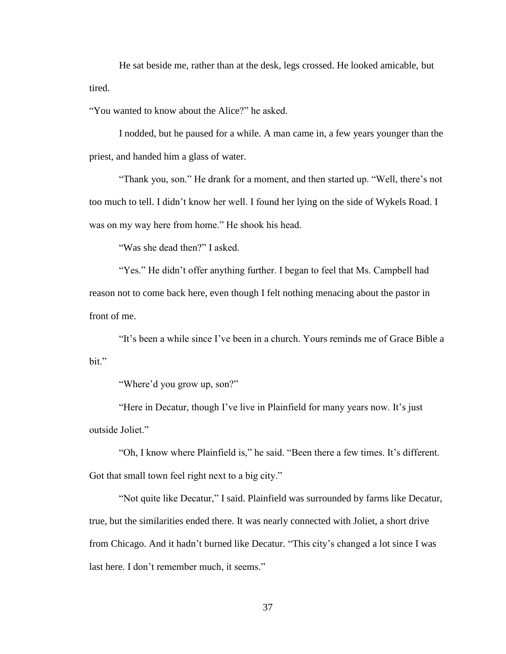He sat beside me, rather than at the desk, legs crossed. He looked amicable, but tired.

"You wanted to know about the Alice?" he asked.

I nodded, but he paused for a while. A man came in, a few years younger than the priest, and handed him a glass of water.

"Thank you, son." He drank for a moment, and then started up. "Well, there's not too much to tell. I didn't know her well. I found her lying on the side of Wykels Road. I was on my way here from home." He shook his head.

"Was she dead then?" I asked.

"Yes." He didn't offer anything further. I began to feel that Ms. Campbell had reason not to come back here, even though I felt nothing menacing about the pastor in front of me.

"It's been a while since I've been in a church. Yours reminds me of Grace Bible a bit."

"Where'd you grow up, son?"

"Here in Decatur, though I've live in Plainfield for many years now. It's just outside Joliet."

"Oh, I know where Plainfield is," he said. "Been there a few times. It's different. Got that small town feel right next to a big city."

"Not quite like Decatur," I said. Plainfield was surrounded by farms like Decatur, true, but the similarities ended there. It was nearly connected with Joliet, a short drive from Chicago. And it hadn't burned like Decatur. "This city's changed a lot since I was last here. I don't remember much, it seems."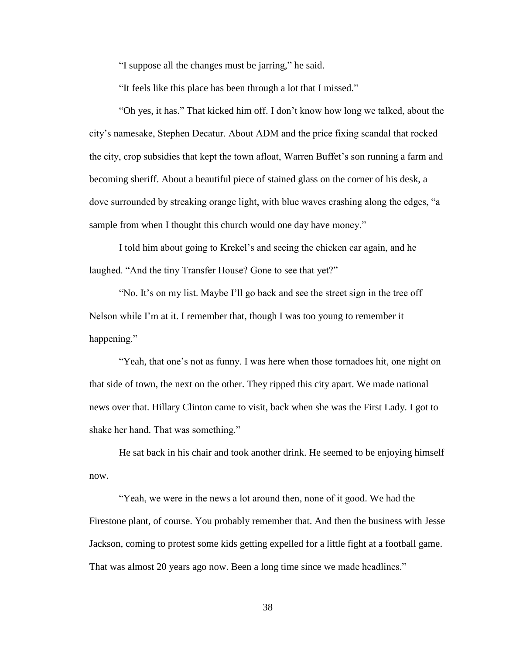"I suppose all the changes must be jarring," he said.

"It feels like this place has been through a lot that I missed."

"Oh yes, it has." That kicked him off. I don't know how long we talked, about the city's namesake, Stephen Decatur. About ADM and the price fixing scandal that rocked the city, crop subsidies that kept the town afloat, Warren Buffet's son running a farm and becoming sheriff. About a beautiful piece of stained glass on the corner of his desk, a dove surrounded by streaking orange light, with blue waves crashing along the edges, "a sample from when I thought this church would one day have money."

I told him about going to Krekel's and seeing the chicken car again, and he laughed. "And the tiny Transfer House? Gone to see that yet?"

"No. It's on my list. Maybe I'll go back and see the street sign in the tree off Nelson while I'm at it. I remember that, though I was too young to remember it happening."

"Yeah, that one's not as funny. I was here when those tornadoes hit, one night on that side of town, the next on the other. They ripped this city apart. We made national news over that. Hillary Clinton came to visit, back when she was the First Lady. I got to shake her hand. That was something."

He sat back in his chair and took another drink. He seemed to be enjoying himself now.

"Yeah, we were in the news a lot around then, none of it good. We had the Firestone plant, of course. You probably remember that. And then the business with Jesse Jackson, coming to protest some kids getting expelled for a little fight at a football game. That was almost 20 years ago now. Been a long time since we made headlines."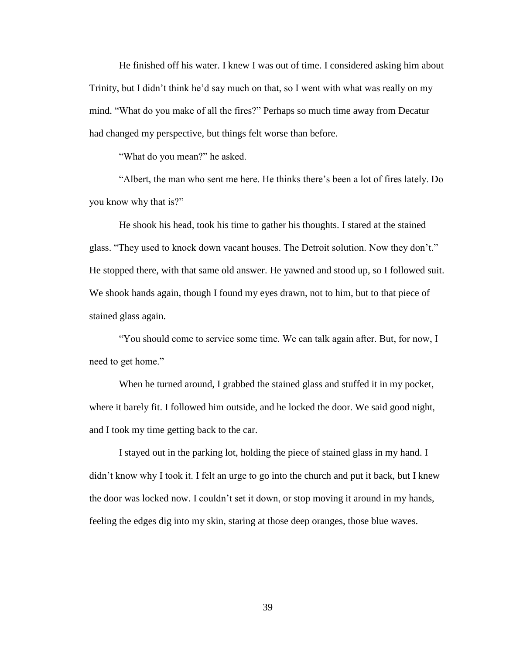He finished off his water. I knew I was out of time. I considered asking him about Trinity, but I didn't think he'd say much on that, so I went with what was really on my mind. "What do you make of all the fires?" Perhaps so much time away from Decatur had changed my perspective, but things felt worse than before.

"What do you mean?" he asked.

"Albert, the man who sent me here. He thinks there's been a lot of fires lately. Do you know why that is?"

He shook his head, took his time to gather his thoughts. I stared at the stained glass. "They used to knock down vacant houses. The Detroit solution. Now they don't." He stopped there, with that same old answer. He yawned and stood up, so I followed suit. We shook hands again, though I found my eyes drawn, not to him, but to that piece of stained glass again.

"You should come to service some time. We can talk again after. But, for now, I need to get home."

When he turned around, I grabbed the stained glass and stuffed it in my pocket, where it barely fit. I followed him outside, and he locked the door. We said good night, and I took my time getting back to the car.

I stayed out in the parking lot, holding the piece of stained glass in my hand. I didn't know why I took it. I felt an urge to go into the church and put it back, but I knew the door was locked now. I couldn't set it down, or stop moving it around in my hands, feeling the edges dig into my skin, staring at those deep oranges, those blue waves.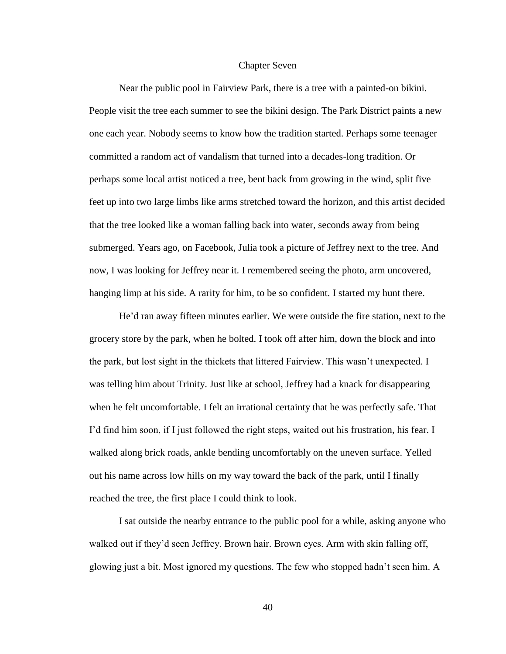#### Chapter Seven

<span id="page-46-0"></span>Near the public pool in Fairview Park, there is a tree with a painted-on bikini. People visit the tree each summer to see the bikini design. The Park District paints a new one each year. Nobody seems to know how the tradition started. Perhaps some teenager committed a random act of vandalism that turned into a decades-long tradition. Or perhaps some local artist noticed a tree, bent back from growing in the wind, split five feet up into two large limbs like arms stretched toward the horizon, and this artist decided that the tree looked like a woman falling back into water, seconds away from being submerged. Years ago, on Facebook, Julia took a picture of Jeffrey next to the tree. And now, I was looking for Jeffrey near it. I remembered seeing the photo, arm uncovered, hanging limp at his side. A rarity for him, to be so confident. I started my hunt there.

He'd ran away fifteen minutes earlier. We were outside the fire station, next to the grocery store by the park, when he bolted. I took off after him, down the block and into the park, but lost sight in the thickets that littered Fairview. This wasn't unexpected. I was telling him about Trinity. Just like at school, Jeffrey had a knack for disappearing when he felt uncomfortable. I felt an irrational certainty that he was perfectly safe. That I'd find him soon, if I just followed the right steps, waited out his frustration, his fear. I walked along brick roads, ankle bending uncomfortably on the uneven surface. Yelled out his name across low hills on my way toward the back of the park, until I finally reached the tree, the first place I could think to look.

I sat outside the nearby entrance to the public pool for a while, asking anyone who walked out if they'd seen Jeffrey. Brown hair. Brown eyes. Arm with skin falling off, glowing just a bit. Most ignored my questions. The few who stopped hadn't seen him. A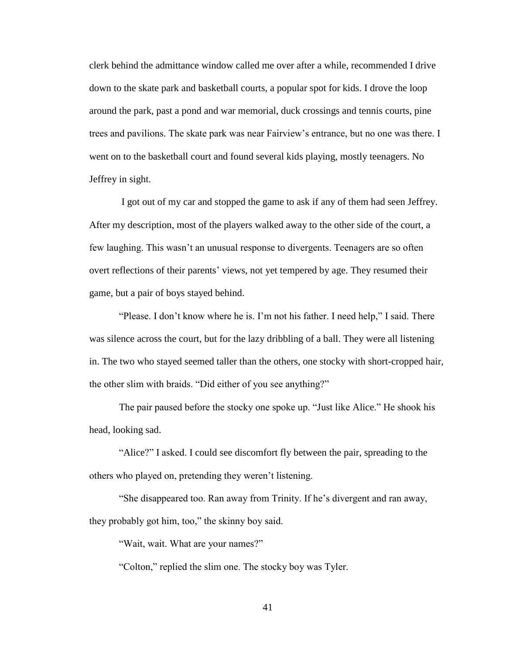clerk behind the admittance window called me over after a while, recommended I drive down to the skate park and basketball courts, a popular spot for kids. I drove the loop around the park, past a pond and war memorial, duck crossings and tennis courts, pine trees and pavilions. The skate park was near Fairview's entrance, but no one was there. I went on to the basketball court and found several kids playing, mostly teenagers. No Jeffrey in sight.

I got out of my car and stopped the game to ask if any of them had seen Jeffrey. After my description, most of the players walked away to the other side of the court, a few laughing. This wasn't an unusual response to divergents. Teenagers are so often overt reflections of their parents' views, not yet tempered by age. They resumed their game, but a pair of boys stayed behind.

"Please. I don't know where he is. I'm not his father. I need help," I said. There was silence across the court, but for the lazy dribbling of a ball. They were all listening in. The two who stayed seemed taller than the others, one stocky with short-cropped hair, the other slim with braids. "Did either of you see anything?"

The pair paused before the stocky one spoke up. "Just like Alice." He shook his head, looking sad.

"Alice?" I asked. I could see discomfort fly between the pair, spreading to the others who played on, pretending they weren't listening.

"She disappeared too. Ran away from Trinity. If he's divergent and ran away, they probably got him, too," the skinny boy said.

"Wait, wait. What are your names?"

"Colton," replied the slim one. The stocky boy was Tyler.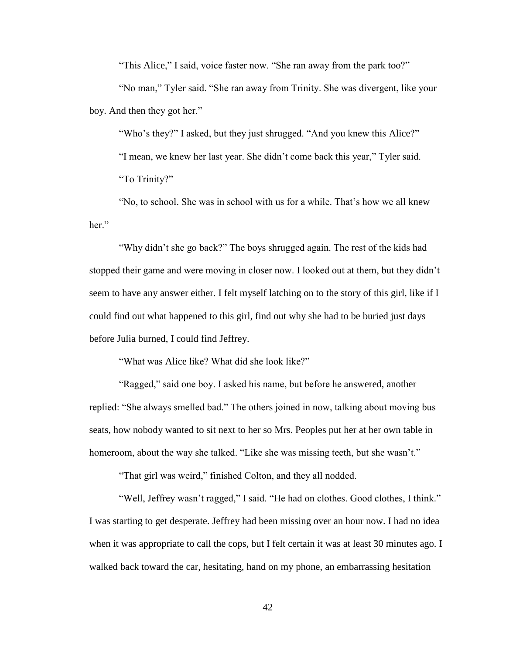"This Alice," I said, voice faster now. "She ran away from the park too?"

"No man," Tyler said. "She ran away from Trinity. She was divergent, like your boy. And then they got her."

"Who's they?" I asked, but they just shrugged. "And you knew this Alice?" "I mean, we knew her last year. She didn't come back this year," Tyler said. "To Trinity?"

"No, to school. She was in school with us for a while. That's how we all knew her."

"Why didn't she go back?" The boys shrugged again. The rest of the kids had stopped their game and were moving in closer now. I looked out at them, but they didn't seem to have any answer either. I felt myself latching on to the story of this girl, like if I could find out what happened to this girl, find out why she had to be buried just days before Julia burned, I could find Jeffrey.

"What was Alice like? What did she look like?"

"Ragged," said one boy. I asked his name, but before he answered, another replied: "She always smelled bad." The others joined in now, talking about moving bus seats, how nobody wanted to sit next to her so Mrs. Peoples put her at her own table in homeroom, about the way she talked. "Like she was missing teeth, but she wasn't."

"That girl was weird," finished Colton, and they all nodded.

"Well, Jeffrey wasn't ragged," I said. "He had on clothes. Good clothes, I think." I was starting to get desperate. Jeffrey had been missing over an hour now. I had no idea when it was appropriate to call the cops, but I felt certain it was at least 30 minutes ago. I walked back toward the car, hesitating, hand on my phone, an embarrassing hesitation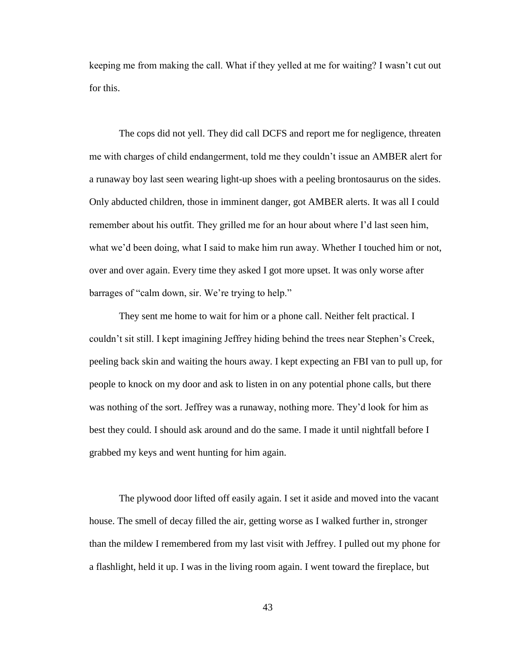keeping me from making the call. What if they yelled at me for waiting? I wasn't cut out for this.

The cops did not yell. They did call DCFS and report me for negligence, threaten me with charges of child endangerment, told me they couldn't issue an AMBER alert for a runaway boy last seen wearing light-up shoes with a peeling brontosaurus on the sides. Only abducted children, those in imminent danger, got AMBER alerts. It was all I could remember about his outfit. They grilled me for an hour about where I'd last seen him, what we'd been doing, what I said to make him run away. Whether I touched him or not, over and over again. Every time they asked I got more upset. It was only worse after barrages of "calm down, sir. We're trying to help."

They sent me home to wait for him or a phone call. Neither felt practical. I couldn't sit still. I kept imagining Jeffrey hiding behind the trees near Stephen's Creek, peeling back skin and waiting the hours away. I kept expecting an FBI van to pull up, for people to knock on my door and ask to listen in on any potential phone calls, but there was nothing of the sort. Jeffrey was a runaway, nothing more. They'd look for him as best they could. I should ask around and do the same. I made it until nightfall before I grabbed my keys and went hunting for him again.

The plywood door lifted off easily again. I set it aside and moved into the vacant house. The smell of decay filled the air, getting worse as I walked further in, stronger than the mildew I remembered from my last visit with Jeffrey. I pulled out my phone for a flashlight, held it up. I was in the living room again. I went toward the fireplace, but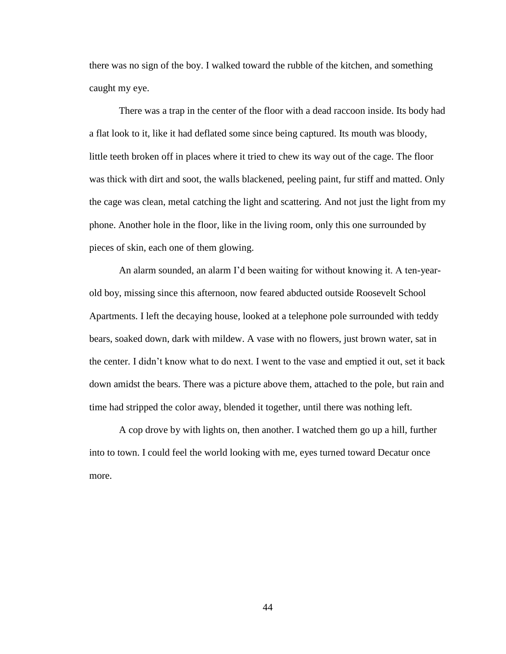there was no sign of the boy. I walked toward the rubble of the kitchen, and something caught my eye.

There was a trap in the center of the floor with a dead raccoon inside. Its body had a flat look to it, like it had deflated some since being captured. Its mouth was bloody, little teeth broken off in places where it tried to chew its way out of the cage. The floor was thick with dirt and soot, the walls blackened, peeling paint, fur stiff and matted. Only the cage was clean, metal catching the light and scattering. And not just the light from my phone. Another hole in the floor, like in the living room, only this one surrounded by pieces of skin, each one of them glowing.

An alarm sounded, an alarm I'd been waiting for without knowing it. A ten-yearold boy, missing since this afternoon, now feared abducted outside Roosevelt School Apartments. I left the decaying house, looked at a telephone pole surrounded with teddy bears, soaked down, dark with mildew. A vase with no flowers, just brown water, sat in the center. I didn't know what to do next. I went to the vase and emptied it out, set it back down amidst the bears. There was a picture above them, attached to the pole, but rain and time had stripped the color away, blended it together, until there was nothing left.

A cop drove by with lights on, then another. I watched them go up a hill, further into to town. I could feel the world looking with me, eyes turned toward Decatur once more.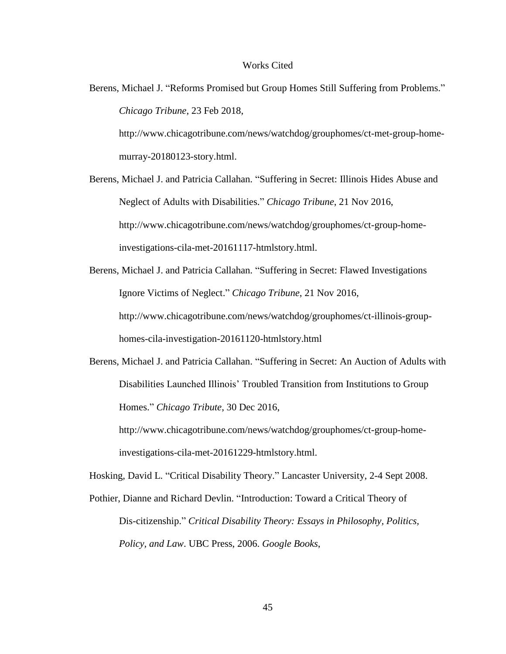#### Works Cited

<span id="page-51-0"></span>Berens, Michael J. "Reforms Promised but Group Homes Still Suffering from Problems." *Chicago Tribune*, 23 Feb 2018,

http://www.chicagotribune.com/news/watchdog/grouphomes/ct-met-group-homemurray-20180123-story.html.

Berens, Michael J. and Patricia Callahan. "Suffering in Secret: Illinois Hides Abuse and Neglect of Adults with Disabilities." *Chicago Tribune*, 21 Nov 2016, http://www.chicagotribune.com/news/watchdog/grouphomes/ct-group-homeinvestigations-cila-met-20161117-htmlstory.html.

Berens, Michael J. and Patricia Callahan. "Suffering in Secret: Flawed Investigations Ignore Victims of Neglect." *Chicago Tribune*, 21 Nov 2016, http://www.chicagotribune.com/news/watchdog/grouphomes/ct-illinois-grouphomes-cila-investigation-20161120-htmlstory.html

Berens, Michael J. and Patricia Callahan. "Suffering in Secret: An Auction of Adults with Disabilities Launched Illinois' Troubled Transition from Institutions to Group Homes." *Chicago Tribute*, 30 Dec 2016,

http://www.chicagotribune.com/news/watchdog/grouphomes/ct-group-homeinvestigations-cila-met-20161229-htmlstory.html.

Hosking, David L. "Critical Disability Theory." Lancaster University, 2-4 Sept 2008.

Pothier, Dianne and Richard Devlin. "Introduction: Toward a Critical Theory of Dis-citizenship." *Critical Disability Theory: Essays in Philosophy, Politics, Policy, and Law*. UBC Press, 2006. *Google Books*,